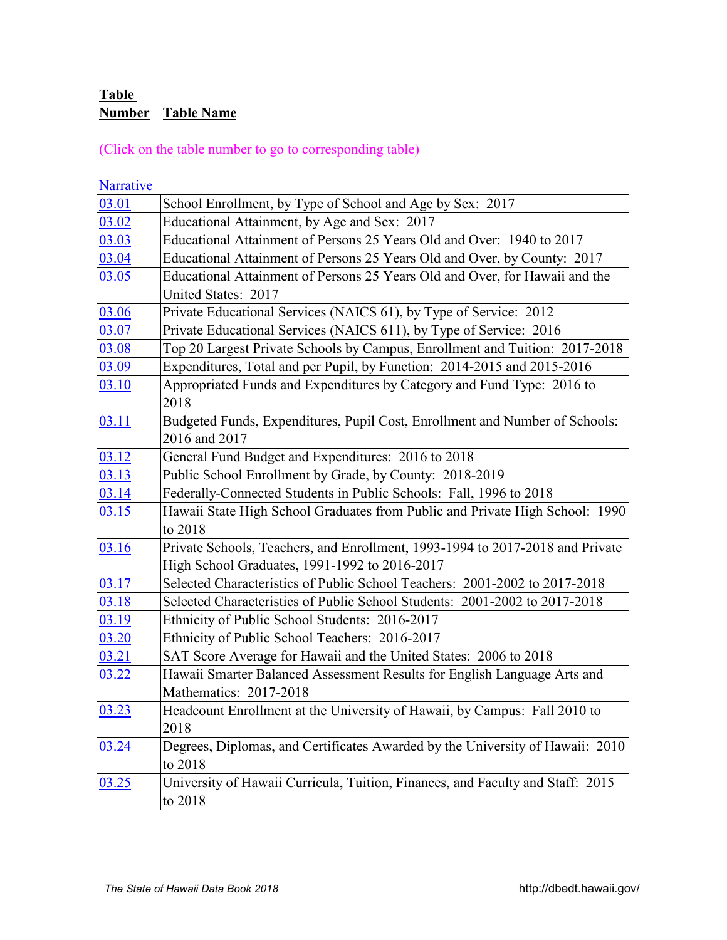# **Table**  *X0AT* **Number Table Name**

(Click on the table number to go to corresponding table)

| <b>Narrative</b> |                                                                                                                                |
|------------------|--------------------------------------------------------------------------------------------------------------------------------|
| 03.01            | School Enrollment, by Type of School and Age by Sex: 2017                                                                      |
| 03.02            | Educational Attainment, by Age and Sex: 2017                                                                                   |
| 03.03            | Educational Attainment of Persons 25 Years Old and Over: 1940 to 2017                                                          |
| 03.04            | Educational Attainment of Persons 25 Years Old and Over, by County: 2017                                                       |
| 03.05            | Educational Attainment of Persons 25 Years Old and Over, for Hawaii and the<br>United States: 2017                             |
| 03.06            | Private Educational Services (NAICS 61), by Type of Service: 2012                                                              |
| 03.07            | Private Educational Services (NAICS 611), by Type of Service: 2016                                                             |
| 03.08            | Top 20 Largest Private Schools by Campus, Enrollment and Tuition: 2017-2018                                                    |
| 03.09            | Expenditures, Total and per Pupil, by Function: 2014-2015 and 2015-2016                                                        |
| 03.10            | Appropriated Funds and Expenditures by Category and Fund Type: 2016 to<br>2018                                                 |
| 03.11            | Budgeted Funds, Expenditures, Pupil Cost, Enrollment and Number of Schools:<br>2016 and 2017                                   |
| 03.12            | General Fund Budget and Expenditures: 2016 to 2018                                                                             |
| 03.13            | Public School Enrollment by Grade, by County: 2018-2019                                                                        |
| 03.14            | Federally-Connected Students in Public Schools: Fall, 1996 to 2018                                                             |
| 03.15            | Hawaii State High School Graduates from Public and Private High School: 1990<br>to 2018                                        |
| 03.16            | Private Schools, Teachers, and Enrollment, 1993-1994 to 2017-2018 and Private<br>High School Graduates, 1991-1992 to 2016-2017 |
| 03.17            | Selected Characteristics of Public School Teachers: 2001-2002 to 2017-2018                                                     |
| 03.18            | Selected Characteristics of Public School Students: 2001-2002 to 2017-2018                                                     |
| 03.19            | Ethnicity of Public School Students: 2016-2017                                                                                 |
| 03.20            | Ethnicity of Public School Teachers: 2016-2017                                                                                 |
| 03.21            | SAT Score Average for Hawaii and the United States: 2006 to 2018                                                               |
| 03.22            | Hawaii Smarter Balanced Assessment Results for English Language Arts and<br>Mathematics: 2017-2018                             |
| 03.23            | Headcount Enrollment at the University of Hawaii, by Campus: Fall 2010 to<br>2018                                              |
| 03.24            | Degrees, Diplomas, and Certificates Awarded by the University of Hawaii: 2010<br>to 2018                                       |
| 03.25            | University of Hawaii Curricula, Tuition, Finances, and Faculty and Staff: 2015<br>to 2018                                      |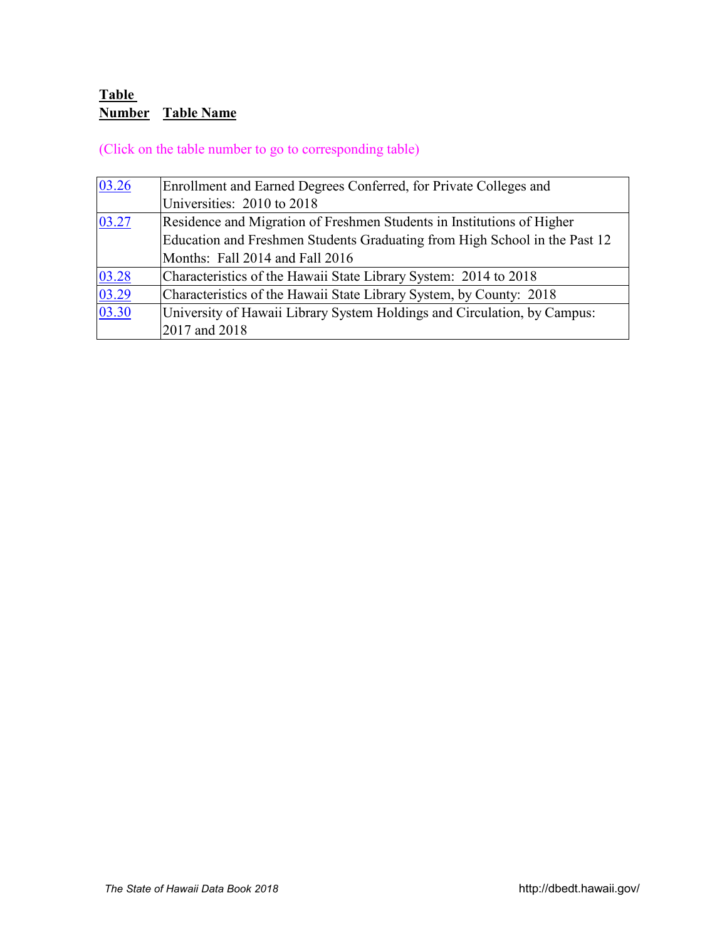# **Table**  *X0AT* **Number Table Name**

(Click on the table number to go to corresponding table)

| 03.26 | Enrollment and Earned Degrees Conferred, for Private Colleges and          |
|-------|----------------------------------------------------------------------------|
|       | Universities: 2010 to 2018                                                 |
| 03.27 | Residence and Migration of Freshmen Students in Institutions of Higher     |
|       | Education and Freshmen Students Graduating from High School in the Past 12 |
|       | Months: Fall 2014 and Fall 2016                                            |
| 03.28 | Characteristics of the Hawaii State Library System: 2014 to 2018           |
| 03.29 | Characteristics of the Hawaii State Library System, by County: 2018        |
| 03.30 | University of Hawaii Library System Holdings and Circulation, by Campus:   |
|       | 2017 and 2018                                                              |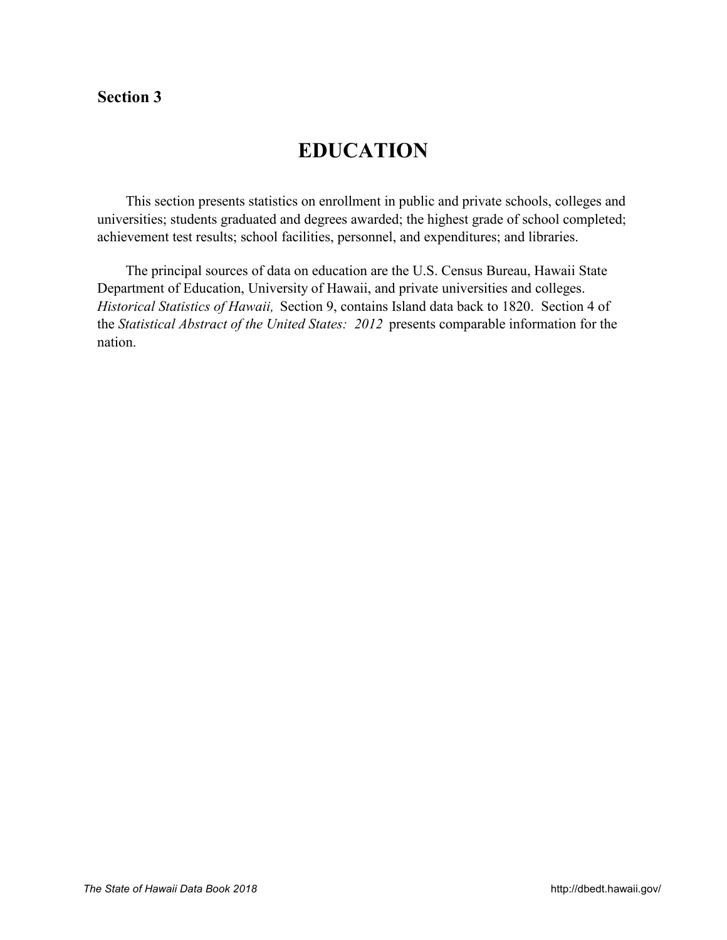# <span id="page-2-0"></span>**Section 3**

# **EDUCATION**

 This section presents statistics on enrollment in public and private schools, colleges and universities; students graduated and degrees awarded; the highest grade of school completed; achievement test results; school facilities, personnel, and expenditures; and libraries.

 The principal sources of data on education are the U.S. Census Bureau, Hawaii State Department of Education, University of Hawaii, and private universities and colleges. *Historical Statistics of Hawaii,* Section 9, contains Island data back to 1820. Section 4 of the *Statistical Abstract of the United States: 2012* presents comparable information for the nation.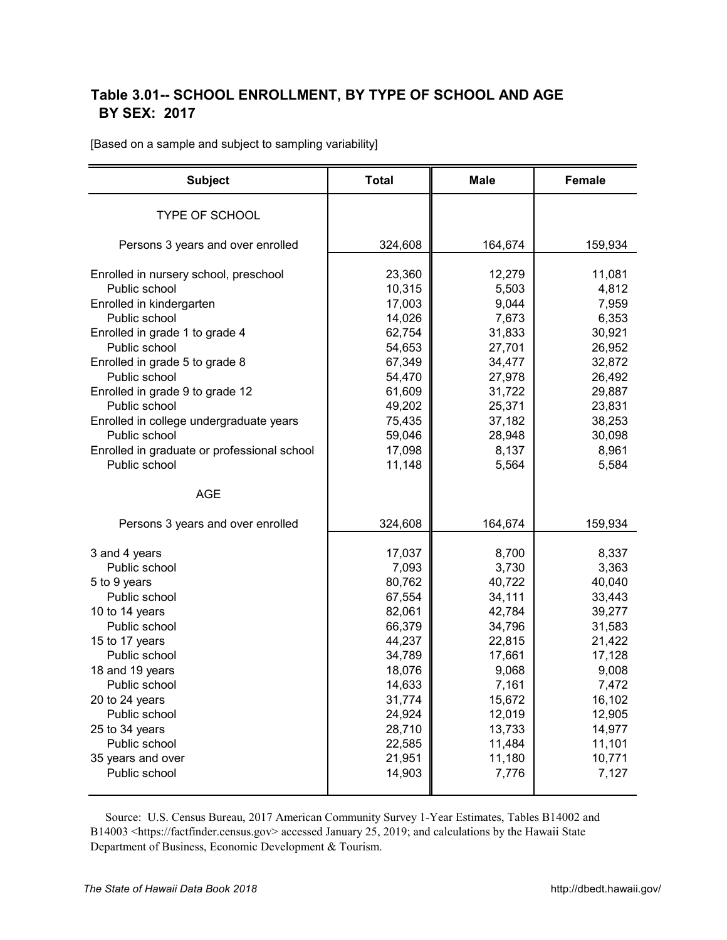## <span id="page-3-0"></span>**Table 3.01-- SCHOOL ENROLLMENT, BY TYPE OF SCHOOL AND AGE**  *X2A0T*  **BY SEX: 2017**

[Based on a sample and subject to sampling variability]

| <b>Subject</b>                              | <b>Total</b> | <b>Male</b> | <b>Female</b> |
|---------------------------------------------|--------------|-------------|---------------|
| <b>TYPE OF SCHOOL</b>                       |              |             |               |
| Persons 3 years and over enrolled           | 324,608      | 164,674     | 159,934       |
|                                             |              |             |               |
| Enrolled in nursery school, preschool       | 23,360       | 12,279      | 11,081        |
| Public school                               | 10,315       | 5,503       | 4,812         |
| Enrolled in kindergarten                    | 17,003       | 9,044       | 7,959         |
| Public school                               | 14,026       | 7,673       | 6,353         |
| Enrolled in grade 1 to grade 4              | 62,754       | 31,833      | 30,921        |
| Public school                               | 54,653       | 27,701      | 26,952        |
| Enrolled in grade 5 to grade 8              | 67,349       | 34,477      | 32,872        |
| Public school                               | 54,470       | 27,978      | 26,492        |
| Enrolled in grade 9 to grade 12             | 61,609       | 31,722      | 29,887        |
| Public school                               | 49,202       | 25,371      | 23,831        |
| Enrolled in college undergraduate years     | 75,435       | 37,182      | 38,253        |
| Public school                               | 59,046       | 28,948      | 30,098        |
| Enrolled in graduate or professional school | 17,098       | 8,137       | 8,961         |
| Public school                               | 11,148       | 5,564       | 5,584         |
| <b>AGE</b>                                  |              |             |               |
| Persons 3 years and over enrolled           | 324,608      | 164,674     | 159,934       |
| 3 and 4 years                               | 17,037       | 8,700       | 8,337         |
| Public school                               | 7,093        | 3,730       | 3,363         |
| 5 to 9 years                                | 80,762       | 40,722      | 40,040        |
| Public school                               | 67,554       | 34,111      | 33,443        |
| 10 to 14 years                              | 82,061       | 42,784      | 39,277        |
| Public school                               | 66,379       | 34,796      | 31,583        |
| 15 to 17 years                              | 44,237       | 22,815      | 21,422        |
| Public school                               | 34,789       | 17,661      | 17,128        |
| 18 and 19 years                             | 18,076       | 9,068       | 9,008         |
| Public school                               | 14,633       | 7,161       | 7,472         |
| 20 to 24 years                              | 31,774       | 15,672      | 16,102        |
| Public school                               | 24,924       | 12,019      | 12,905        |
| 25 to 34 years                              | 28,710       | 13,733      | 14,977        |
| Public school                               | 22,585       | 11,484      | 11,101        |
| 35 years and over                           | 21,951       | 11,180      | 10,771        |
| Public school                               | 14,903       | 7,776       | 7,127         |
|                                             |              |             |               |

 Source: U.S. Census Bureau, 2017 American Community Survey 1-Year Estimates, Tables B14002 and B14003 [<https://factfinder.census.gov> ac](https://factfinder.census.gov)cessed January 25, 2019; and calculations by the Hawaii State Department of Business, Economic Development & Tourism.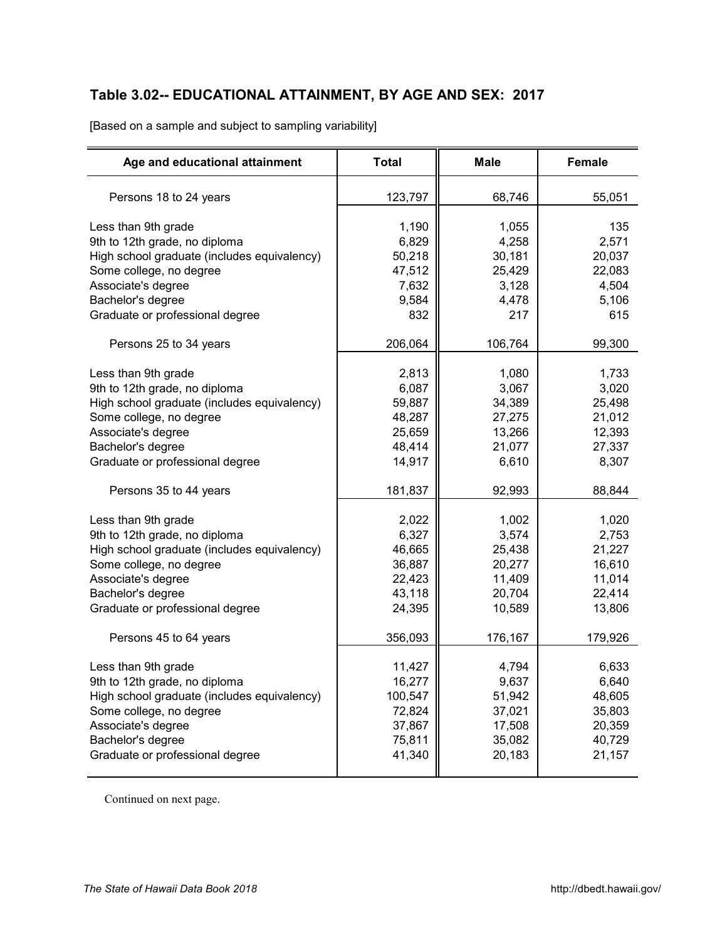# <span id="page-4-0"></span>**Table 3.02-- EDUCATIONAL ATTAINMENT, BY AGE AND SEX: 2017** *X3A0T*

[Based on a sample and subject to sampling variability]

| Age and educational attainment              | <b>Total</b> | <b>Male</b> | <b>Female</b> |
|---------------------------------------------|--------------|-------------|---------------|
| Persons 18 to 24 years                      | 123,797      | 68,746      | 55,051        |
| Less than 9th grade                         | 1,190        | 1,055       | 135           |
| 9th to 12th grade, no diploma               | 6,829        | 4,258       | 2,571         |
| High school graduate (includes equivalency) | 50,218       | 30,181      | 20,037        |
| Some college, no degree                     | 47,512       | 25,429      | 22,083        |
| Associate's degree                          | 7,632        | 3,128       | 4,504         |
| Bachelor's degree                           | 9,584        | 4,478       | 5,106         |
| Graduate or professional degree             | 832          | 217         | 615           |
| Persons 25 to 34 years                      | 206,064      | 106,764     | 99,300        |
| Less than 9th grade                         | 2,813        | 1,080       | 1,733         |
| 9th to 12th grade, no diploma               | 6,087        | 3,067       | 3,020         |
| High school graduate (includes equivalency) | 59,887       | 34,389      | 25,498        |
| Some college, no degree                     | 48,287       | 27,275      | 21,012        |
| Associate's degree                          | 25,659       | 13,266      | 12,393        |
| Bachelor's degree                           | 48,414       | 21,077      | 27,337        |
| Graduate or professional degree             | 14,917       | 6,610       | 8,307         |
| Persons 35 to 44 years                      | 181,837      | 92,993      | 88,844        |
| Less than 9th grade                         | 2,022        | 1,002       | 1,020         |
| 9th to 12th grade, no diploma               | 6,327        | 3,574       | 2,753         |
| High school graduate (includes equivalency) | 46,665       | 25,438      | 21,227        |
| Some college, no degree                     | 36,887       | 20,277      | 16,610        |
| Associate's degree                          | 22,423       | 11,409      | 11,014        |
| Bachelor's degree                           | 43,118       | 20,704      | 22,414        |
| Graduate or professional degree             | 24,395       | 10,589      | 13,806        |
| Persons 45 to 64 years                      | 356,093      | 176,167     | 179,926       |
| Less than 9th grade                         | 11,427       | 4,794       | 6,633         |
| 9th to 12th grade, no diploma               | 16,277       | 9,637       | 6,640         |
| High school graduate (includes equivalency) | 100,547      | 51,942      | 48,605        |
| Some college, no degree                     | 72,824       | 37,021      | 35,803        |
| Associate's degree                          | 37,867       | 17,508      | 20,359        |
| Bachelor's degree                           | 75,811       | 35,082      | 40,729        |
| Graduate or professional degree             | 41,340       | 20,183      | 21,157        |
|                                             |              |             |               |

Continued on next page.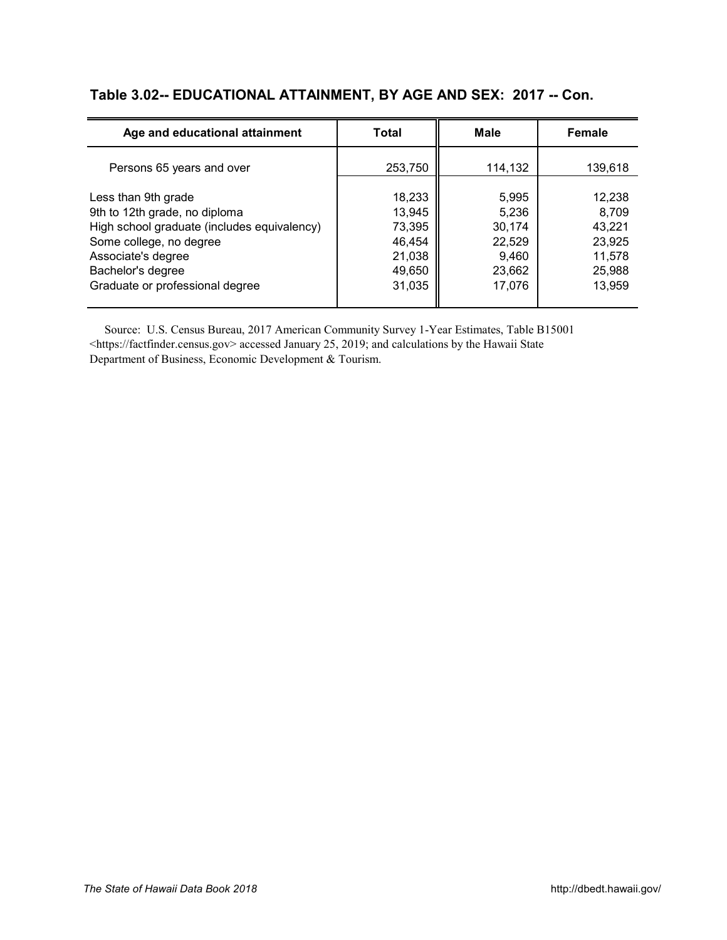#### **Table 3.02-- EDUCATIONAL ATTAINMENT, BY AGE AND SEX: 2017 -- Con.**

| Age and educational attainment                                                                                                                                                                               | Total                                                              | <b>Male</b>                                                     | <b>Female</b>                                                     |
|--------------------------------------------------------------------------------------------------------------------------------------------------------------------------------------------------------------|--------------------------------------------------------------------|-----------------------------------------------------------------|-------------------------------------------------------------------|
| Persons 65 years and over                                                                                                                                                                                    | 253,750                                                            | 114,132                                                         | 139,618                                                           |
| Less than 9th grade<br>9th to 12th grade, no diploma<br>High school graduate (includes equivalency)<br>Some college, no degree<br>Associate's degree<br>Bachelor's degree<br>Graduate or professional degree | 18,233<br>13,945<br>73,395<br>46,454<br>21,038<br>49,650<br>31,035 | 5,995<br>5,236<br>30,174<br>22,529<br>9,460<br>23,662<br>17,076 | 12,238<br>8,709<br>43,221<br>23,925<br>11,578<br>25,988<br>13.959 |

 Source: U.S. Census Bureau, 2017 American Community Survey 1-Year Estimates, Table B15001 [<https://factfinder.census.gov> ac](https://factfinder.census.gov)cessed January 25, 2019; and calculations by the Hawaii State Department of Business, Economic Development & Tourism.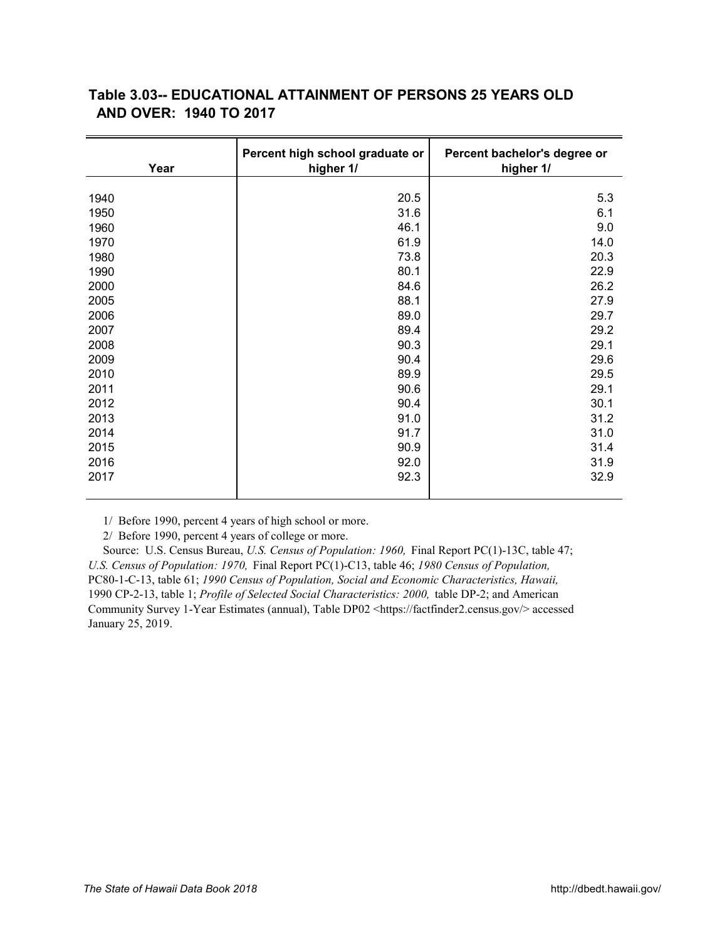## <span id="page-6-0"></span>**Table 3.03-- EDUCATIONAL ATTAINMENT OF PERSONS 25 YEARS OLD**  *X4A0T*  **AND OVER: 1940 TO 2017**

| Year | Percent high school graduate or<br>higher 1/ | Percent bachelor's degree or<br>higher 1/ |
|------|----------------------------------------------|-------------------------------------------|
|      |                                              |                                           |
| 1940 | 20.5                                         | 5.3                                       |
| 1950 | 31.6                                         | 6.1                                       |
| 1960 | 46.1                                         | 9.0                                       |
| 1970 | 61.9                                         | 14.0                                      |
| 1980 | 73.8                                         | 20.3                                      |
| 1990 | 80.1                                         | 22.9                                      |
| 2000 | 84.6                                         | 26.2                                      |
| 2005 | 88.1                                         | 27.9                                      |
| 2006 | 89.0                                         | 29.7                                      |
| 2007 | 89.4                                         | 29.2                                      |
| 2008 | 90.3                                         | 29.1                                      |
| 2009 | 90.4                                         | 29.6                                      |
| 2010 | 89.9                                         | 29.5                                      |
| 2011 | 90.6                                         | 29.1                                      |
| 2012 | 90.4                                         | 30.1                                      |
| 2013 | 91.0                                         | 31.2                                      |
| 2014 | 91.7                                         | 31.0                                      |
| 2015 | 90.9                                         | 31.4                                      |
| 2016 | 92.0                                         | 31.9                                      |
| 2017 | 92.3                                         | 32.9                                      |
|      |                                              |                                           |

1/ Before 1990, percent 4 years of high school or more.

2/ Before 1990, percent 4 years of college or more.

 Source: U.S. Census Bureau, *U.S. Census of Population: 1960,* Final Report PC(1)-13C, table 47; *U.S. Census of Population: 1970,* Final Report PC(1)-C13, table 46; *1980 Census of Population,*  PC80-1-C-13, table 61; *1990 Census of Population, Social and Economic Characteristics, Hawaii,*  1990 CP-2-13, table 1; *Profile of Selected Social Characteristics: 2000,* table DP-2; and American Community Survey 1-Year Estimates (annual), Table DP02 [<https://factfinder2.census.gov/> ac](https://factfinder2.census.gov/)cessed January 25, 2019.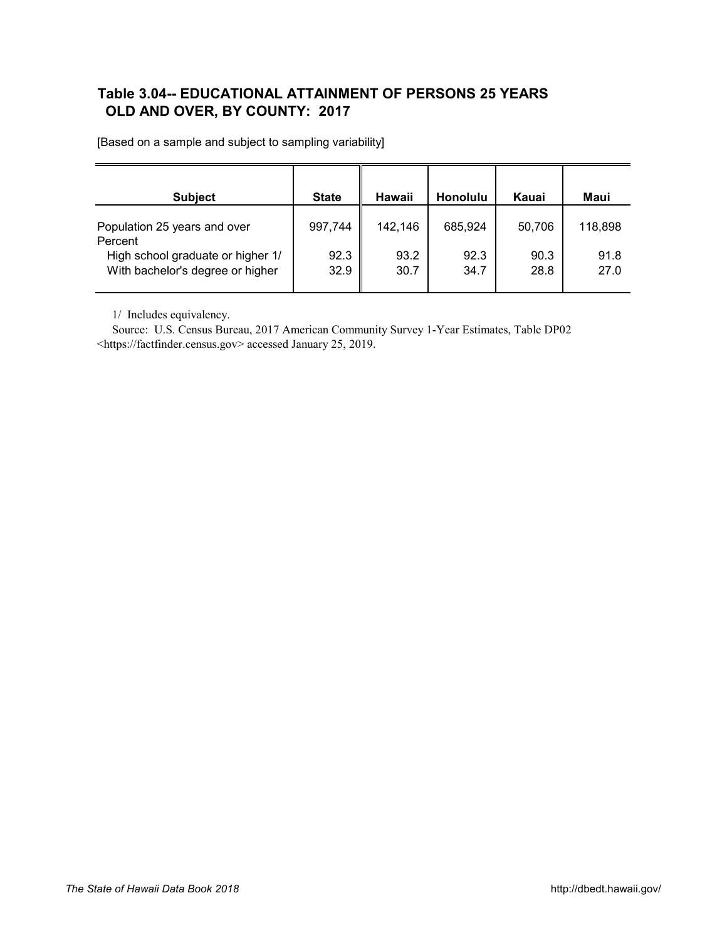## <span id="page-7-0"></span>**Table 3.04-- EDUCATIONAL ATTAINMENT OF PERSONS 25 YEARS** *X5A0T*  **OLD AND OVER, BY COUNTY: 2017**

| <b>Subject</b>                                                        | <b>State</b> | Hawaii       | <b>Honolulu</b> | Kauai        | Maui         |
|-----------------------------------------------------------------------|--------------|--------------|-----------------|--------------|--------------|
| Population 25 years and over<br>Percent                               | 997,744      | 142,146      | 685,924         | 50,706       | 118,898      |
| High school graduate or higher 1/<br>With bachelor's degree or higher | 92.3<br>32.9 | 93.2<br>30.7 | 92.3<br>34.7    | 90.3<br>28.8 | 91.8<br>27.0 |

[Based on a sample and subject to sampling variability]

1/ Includes equivalency.

 Source: U.S. Census Bureau, 2017 American Community Survey 1-Year Estimates, Table DP02 [<https://factfinder.census.gov> ac](https://factfinder.census.gov)cessed January 25, 2019.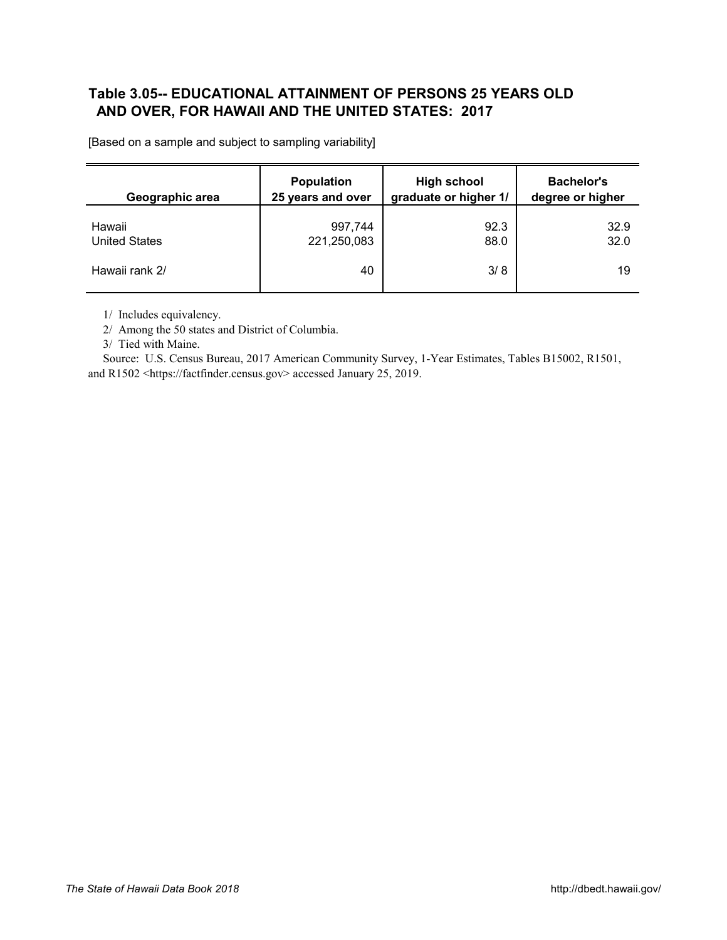## <span id="page-8-0"></span>**Table 3.05-- EDUCATIONAL ATTAINMENT OF PERSONS 25 YEARS OLD** *X6A0T*  **AND OVER, FOR HAWAII AND THE UNITED STATES: 2017**

| Geographic area      | <b>Population</b><br>25 years and over | <b>High school</b><br>graduate or higher 1/ | <b>Bachelor's</b><br>degree or higher |
|----------------------|----------------------------------------|---------------------------------------------|---------------------------------------|
|                      |                                        |                                             |                                       |
| Hawaii               | 997,744                                | 92.3                                        | 32.9                                  |
| <b>United States</b> | 221,250,083                            | 88.0                                        | 32.0                                  |
| Hawaii rank 2/       | 40                                     | 3/8                                         | 19                                    |

[Based on a sample and subject to sampling variability]

1/ Includes equivalency.

2/ Among the 50 states and District of Columbia.

3/ Tied with Maine.

 Source: U.S. Census Bureau, 2017 American Community Survey, 1-Year Estimates, Tables B15002, R1501, and R1502 [<https://factfinder.census.gov> ac](https://factfinder.census.gov)cessed January 25, 2019.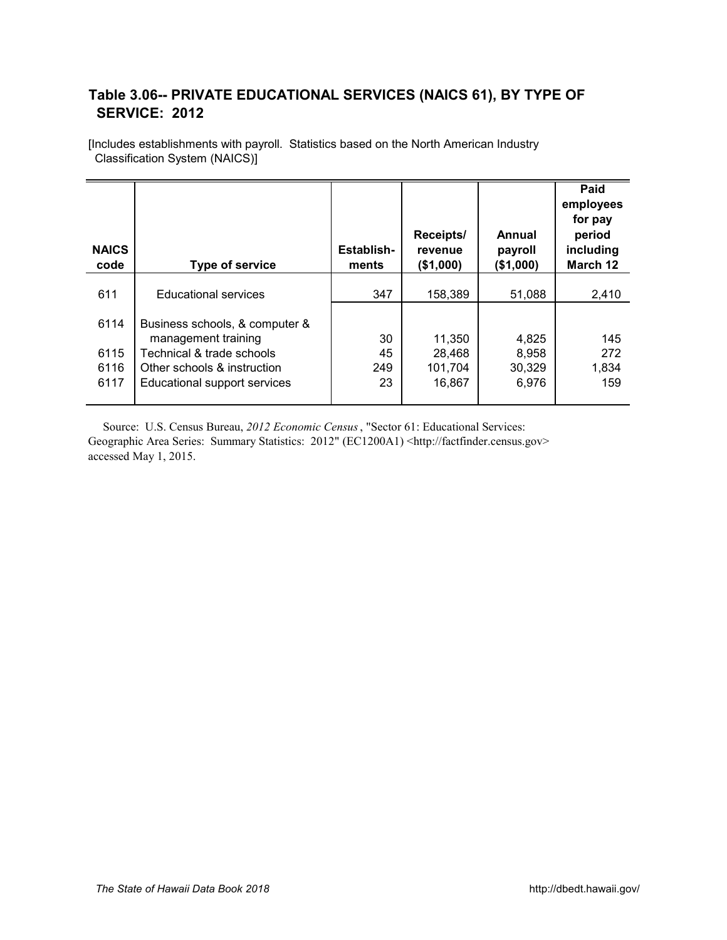## <span id="page-9-0"></span>**Table 3.06-- PRIVATE EDUCATIONAL SERVICES (NAICS 61), BY TYPE OF**  *X7A0T*  **SERVICE: 2012**

[Includes establishments with payroll. Statistics based on the North American Industry Classification System (NAICS)]

| <b>NAICS</b><br>code | <b>Type of service</b>         | Establish-<br>ments | Receipts/<br>revenue<br>(\$1,000) | Annual<br>payroll<br>(\$1,000) | Paid<br>employees<br>for pay<br>period<br>including<br>March 12 |
|----------------------|--------------------------------|---------------------|-----------------------------------|--------------------------------|-----------------------------------------------------------------|
| 611                  | <b>Educational services</b>    | 347                 | 158,389                           | 51,088                         | 2,410                                                           |
|                      |                                |                     |                                   |                                |                                                                 |
| 6114                 | Business schools, & computer & |                     |                                   |                                |                                                                 |
|                      | management training            | 30                  | 11,350                            | 4,825                          | 145                                                             |
| 6115                 | Technical & trade schools      | 45                  | 28,468                            | 8,958                          | 272                                                             |
| 6116                 | Other schools & instruction    | 249                 | 101,704                           | 30,329                         | 1,834                                                           |
| 6117                 | Educational support services   | 23                  | 16,867                            | 6,976                          | 159                                                             |

 Source: U.S. Census Bureau, *2012 Economic Census*, "Sector 61: Educational Services: Geographic Area Series: Summary Statistics: 2012" (EC1200A1) [<http://factfinder.census.gov>](http://factfinder.census.gov) accessed May 1, 2015.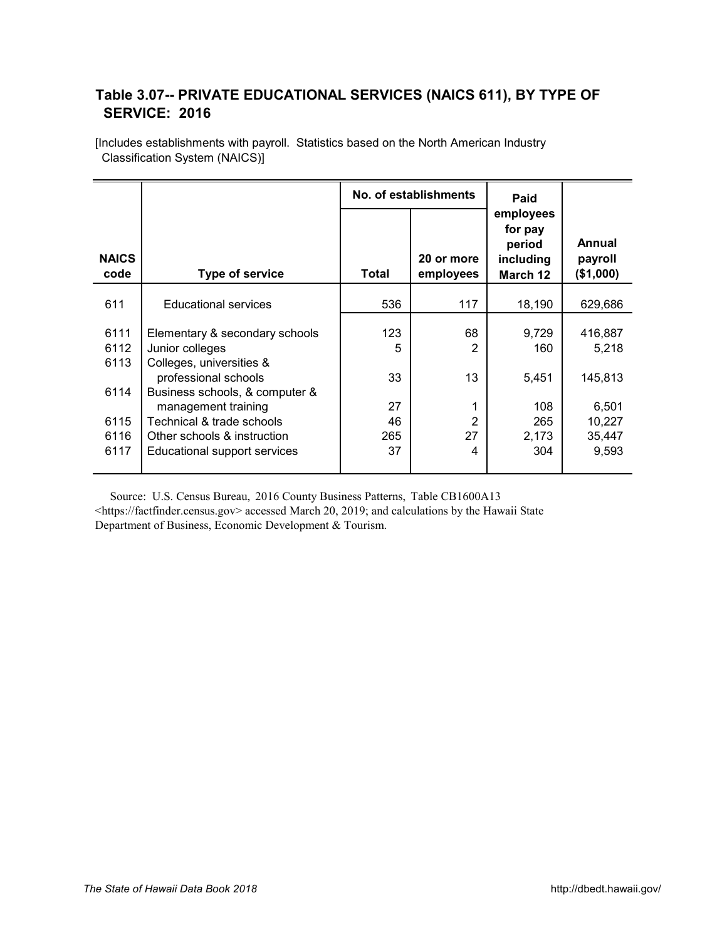## <span id="page-10-0"></span>**Table 3.07-- PRIVATE EDUCATIONAL SERVICES (NAICS 611), BY TYPE OF** *X8A0T*  **SERVICE: 2016**

|                      |                                                                                    | No. of establishments |                         | Paid                                                    |                                |
|----------------------|------------------------------------------------------------------------------------|-----------------------|-------------------------|---------------------------------------------------------|--------------------------------|
| <b>NAICS</b><br>code | <b>Type of service</b>                                                             | <b>Total</b>          | 20 or more<br>employees | employees<br>for pay<br>period<br>including<br>March 12 | Annual<br>payroll<br>(\$1,000) |
| 611                  | <b>Educational services</b>                                                        | 536                   | 117                     | 18,190                                                  | 629,686                        |
| 6111<br>6112         | Elementary & secondary schools<br>Junior colleges                                  | 123<br>5              | 68<br>$\overline{2}$    | 9,729<br>160                                            | 416,887<br>5,218               |
| 6113<br>6114         | Colleges, universities &<br>professional schools<br>Business schools, & computer & | 33                    | 13                      | 5,451                                                   | 145,813                        |
|                      | management training                                                                | 27                    | 1                       | 108                                                     | 6,501                          |
| 6115                 | Technical & trade schools                                                          | 46                    | 2                       | 265                                                     | 10,227                         |
| 6116                 | Other schools & instruction                                                        | 265                   | 27                      | 2,173                                                   | 35,447                         |
| 6117                 | Educational support services                                                       | 37                    | 4                       | 304                                                     | 9,593                          |

[Includes establishments with payroll. Statistics based on the North American Industry Classification System (NAICS)]

 Source: U.S. Census Bureau, 2016 County Business Patterns, Table CB1600A13 <[https://factfinder.census.gov> ac](https://factfinder.census.gov)cessed March 20, 2019; and calculations by the Hawaii State Department of Business, Economic Development & Tourism.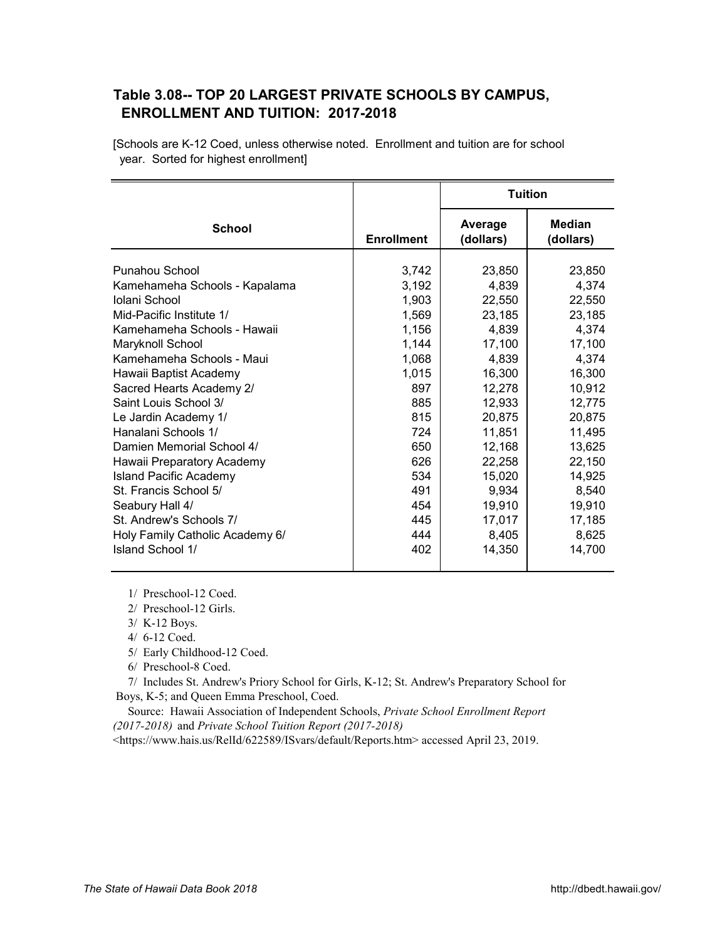#### <span id="page-11-0"></span>**Table 3.08-- TOP 20 LARGEST PRIVATE SCHOOLS BY CAMPUS,** *X9A0T*  **ENROLLMENT AND TUITION: 2017-2018**

[Schools are K-12 Coed, unless otherwise noted. Enrollment and tuition are for school year. Sorted for highest enrollment]

|                                 |                   | <b>Tuition</b>       |                            |
|---------------------------------|-------------------|----------------------|----------------------------|
| <b>School</b>                   | <b>Enrollment</b> | Average<br>(dollars) | <b>Median</b><br>(dollars) |
| <b>Punahou School</b>           | 3,742             | 23,850               | 23,850                     |
| Kamehameha Schools - Kapalama   | 3,192             | 4.839                | 4,374                      |
| Iolani School                   | 1,903             | 22,550               | 22,550                     |
| Mid-Pacific Institute 1/        | 1,569             | 23,185               | 23,185                     |
| Kamehameha Schools - Hawaii     | 1,156             | 4,839                | 4,374                      |
| Maryknoll School                | 1,144             | 17,100               | 17,100                     |
| Kamehameha Schools - Maui       | 1,068             | 4.839                | 4,374                      |
| Hawaii Baptist Academy          | 1,015             | 16,300               | 16,300                     |
| Sacred Hearts Academy 2/        | 897               | 12,278               | 10,912                     |
| Saint Louis School 3/           | 885               | 12,933               | 12,775                     |
| Le Jardin Academy 1/            | 815               | 20,875               | 20,875                     |
| Hanalani Schools 1/             | 724               | 11,851               | 11,495                     |
| Damien Memorial School 4/       | 650               | 12,168               | 13,625                     |
| Hawaii Preparatory Academy      | 626               | 22,258               | 22,150                     |
| <b>Island Pacific Academy</b>   | 534               | 15,020               | 14,925                     |
| St. Francis School 5/           | 491               | 9,934                | 8,540                      |
| Seabury Hall 4/                 | 454               | 19,910               | 19,910                     |
| St. Andrew's Schools 7/         | 445               | 17,017               | 17,185                     |
| Holy Family Catholic Academy 6/ | 444               | 8,405                | 8,625                      |
| Island School 1/                | 402               | 14,350               | 14,700                     |

1/ Preschool-12 Coed.

2/ Preschool-12 Girls.

3/ K-12 Boys.

4/ 6-12 Coed.

5/ Early Childhood-12 Coed.

6/ Preschool-8 Coed.

 7/ Includes St. Andrew's Priory School for Girls, K-12; St. Andrew's Preparatory School for Boys, K-5; and Queen Emma Preschool, Coed.

 Source: Hawaii Association of Independent Schools, *Private School Enrollment Report (2017-2018)* and *Private School Tuition Report (2017-2018)* 

<[https://www.hais.us/RelId/622589/ISvars/default/Reports.htm> ac](https://www.hais.us/RelId/622589/ISvars/default/Reports.htm)cessed April 23, 2019.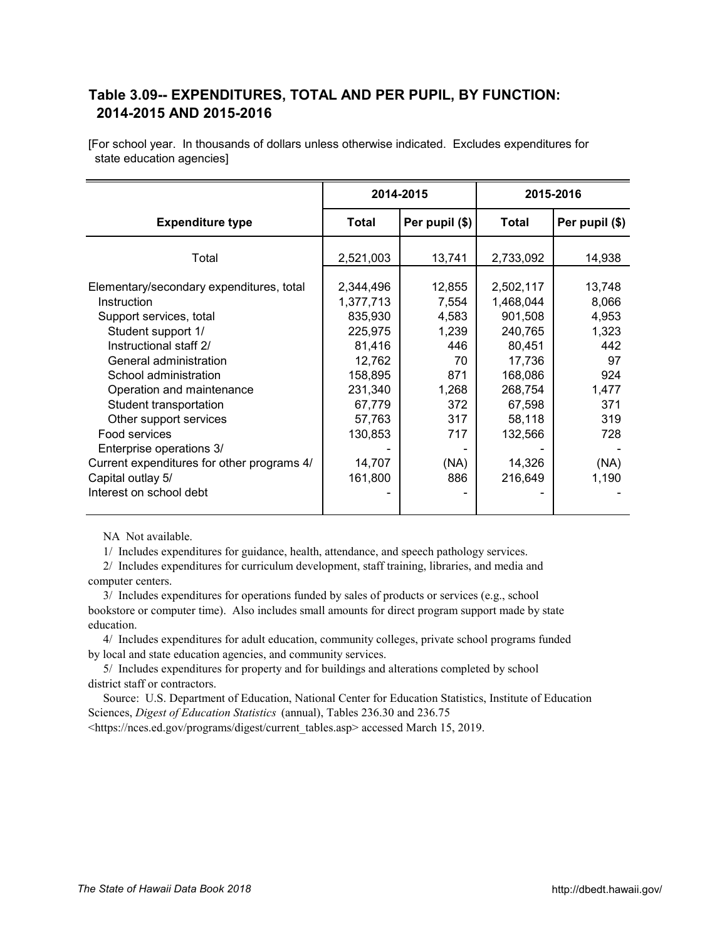## <span id="page-12-0"></span>**Table 3.09-- EXPENDITURES, TOTAL AND PER PUPIL, BY FUNCTION:**  *X10AT*  **2014-2015 AND 2015-2016**

[For school year. In thousands of dollars unless otherwise indicated. Excludes expenditures for state education agencies]

|                                            | 2014-2015            |                | 2015-2016            |                |
|--------------------------------------------|----------------------|----------------|----------------------|----------------|
| <b>Expenditure type</b>                    | Total                | Per pupil (\$) | Total                | Per pupil (\$) |
| Total                                      | 2,521,003            | 13,741         | 2,733,092            | 14,938         |
| Elementary/secondary expenditures, total   | 2,344,496            | 12,855         | 2,502,117            | 13,748         |
| Instruction<br>Support services, total     | 1,377,713<br>835,930 | 7,554<br>4,583 | 1,468,044<br>901,508 | 8,066<br>4,953 |
| Student support 1/                         | 225,975              | 1,239          | 240,765              | 1,323          |
| Instructional staff 2/                     | 81,416               | 446            | 80,451               | 442            |
| General administration                     | 12,762               | 70             | 17,736               | 97             |
| School administration                      | 158,895              | 871            | 168,086              | 924            |
| Operation and maintenance                  | 231,340              | 1,268          | 268,754              | 1,477          |
| Student transportation                     | 67,779               | 372            | 67,598               | 371            |
| Other support services                     | 57,763               | 317            | 58,118               | 319            |
| Food services                              | 130,853              | 717            | 132,566              | 728            |
| Enterprise operations 3/                   |                      |                |                      |                |
| Current expenditures for other programs 4/ | 14,707               | (NA)           | 14,326               | (NA)           |
| Capital outlay 5/                          | 161,800              | 886            | 216,649              | 1,190          |
| Interest on school debt                    |                      |                |                      |                |

NA Not available.

1/ Includes expenditures for guidance, health, attendance, and speech pathology services.

 2/ Includes expenditures for curriculum development, staff training, libraries, and media and computer centers.

 3/ Includes expenditures for operations funded by sales of products or services (e.g., school bookstore or computer time). Also includes small amounts for direct program support made by state education.

 4/ Includes expenditures for adult education, community colleges, private school programs funded by local and state education agencies, and community services.

 5/ Includes expenditures for property and for buildings and alterations completed by school district staff or contractors.

 Source: U.S. Department of Education, National Center for Education Statistics, Institute of Education Sciences, *Digest of Education Statistics* (annual), Tables 236.30 and 236.75

<[https://nces.ed.gov/programs/digest/current\\_tables.asp> ac](https://nces.ed.gov/programs/digest/current_tables.asp)cessed March 15, 2019.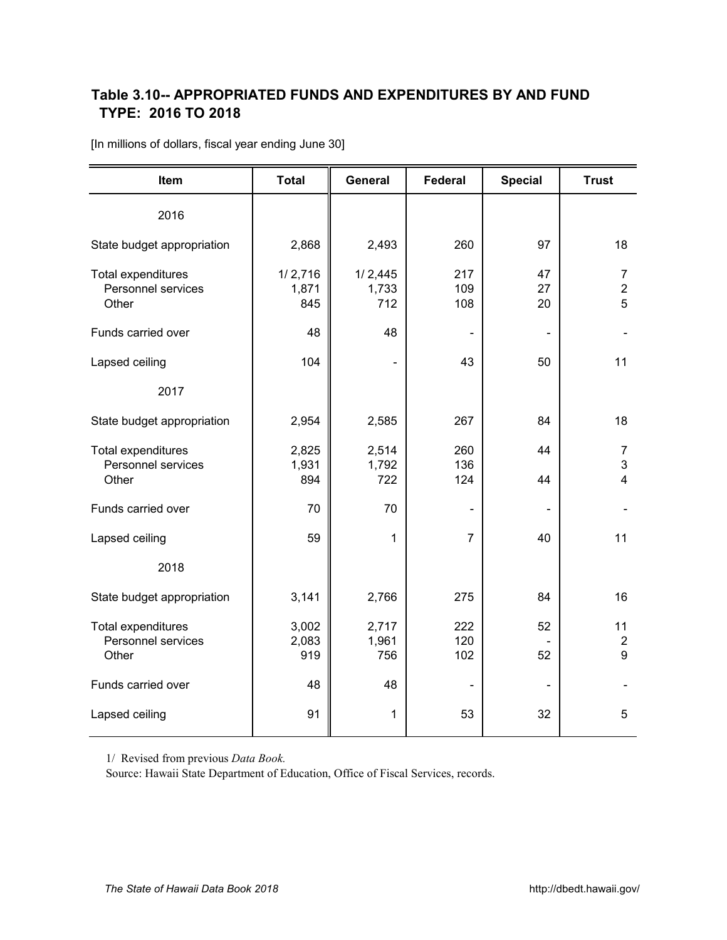## <span id="page-13-0"></span>**Table 3.10-- APPROPRIATED FUNDS AND EXPENDITURES BY AND FUND** *X1A0T*  **TYPE: 2016 TO 2018**

| Item                                                     | <b>Total</b>            | General                 | <b>Federal</b>    | <b>Special</b> | <b>Trust</b>              |
|----------------------------------------------------------|-------------------------|-------------------------|-------------------|----------------|---------------------------|
| 2016                                                     |                         |                         |                   |                |                           |
| State budget appropriation                               | 2,868                   | 2,493                   | 260               | 97             | 18                        |
| Total expenditures<br>Personnel services<br>Other        | 1/2,716<br>1,871<br>845 | 1/2,445<br>1,733<br>712 | 217<br>109<br>108 | 47<br>27<br>20 | 7<br>$\overline{2}$<br>5  |
| Funds carried over                                       | 48                      | 48                      |                   |                |                           |
| Lapsed ceiling                                           | 104                     |                         | 43                | 50             | 11                        |
| 2017                                                     |                         |                         |                   |                |                           |
| State budget appropriation                               | 2,954                   | 267<br>2,585            |                   | 84             | 18                        |
| <b>Total expenditures</b><br>Personnel services<br>Other | 2,825<br>1,931<br>894   | 2,514<br>1,792<br>722   | 260<br>136<br>124 | 44<br>44       | 7<br>3<br>$\overline{4}$  |
| Funds carried over                                       | 70                      | 70                      |                   |                |                           |
| Lapsed ceiling                                           | 59                      | 1                       | $\overline{7}$    | 40             | 11                        |
| 2018                                                     |                         |                         |                   |                |                           |
| State budget appropriation                               | 3,141                   | 2,766                   | 275               | 84             | 16                        |
| Total expenditures<br>Personnel services<br>Other        | 3,002<br>2,083<br>919   | 2,717<br>1,961<br>756   | 222<br>120<br>102 | 52<br>52       | 11<br>$\overline{2}$<br>9 |
| Funds carried over                                       | 48                      | 48                      |                   |                |                           |
| Lapsed ceiling                                           | 91                      | 1                       | 53                | 32             | 5                         |

[In millions of dollars, fiscal year ending June 30]

1/ Revised from previous *Data Book.*

Source: Hawaii State Department of Education, Office of Fiscal Services, records.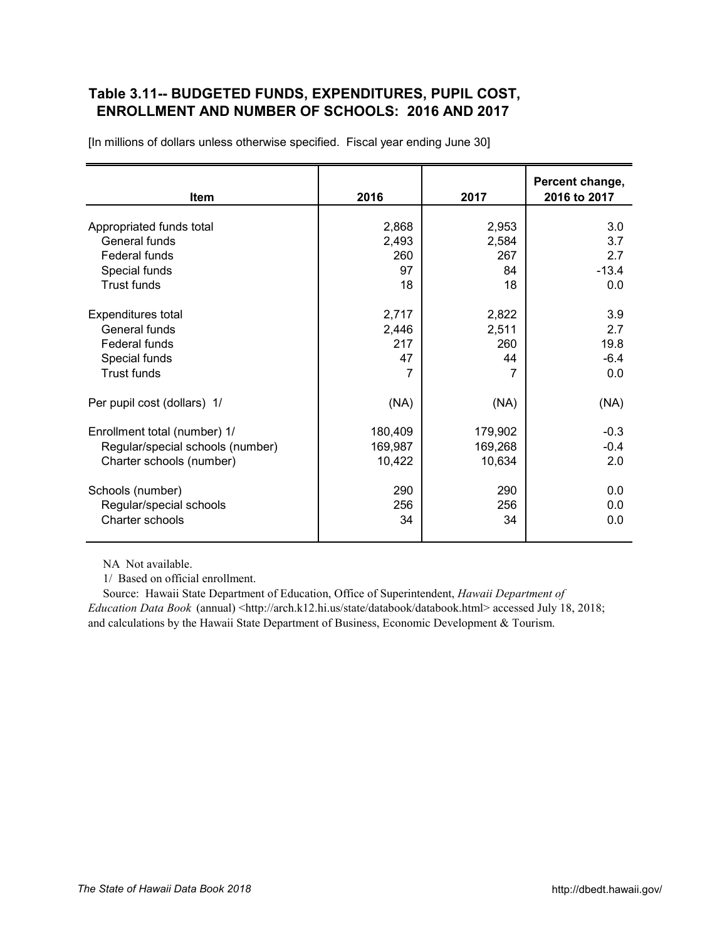## <span id="page-14-0"></span>**Table 3.11-- BUDGETED FUNDS, EXPENDITURES, PUPIL COST,**  *X12A0T*  **ENROLLMENT AND NUMBER OF SCHOOLS: 2016 AND 2017**

| <b>Item</b>                               | 2016    | 2017           | Percent change,<br>2016 to 2017 |
|-------------------------------------------|---------|----------------|---------------------------------|
|                                           |         |                |                                 |
| Appropriated funds total<br>General funds | 2,868   | 2,953          | 3.0                             |
|                                           | 2,493   | 2,584          | 3.7                             |
| Federal funds                             | 260     | 267            | 2.7                             |
| Special funds                             | 97      | 84             | $-13.4$                         |
| <b>Trust funds</b>                        | 18      | 18             | 0.0                             |
| Expenditures total                        | 2,717   | 2,822          | 3.9                             |
| General funds                             | 2,446   | 2,511          | 2.7                             |
| Federal funds                             | 217     | 260            | 19.8                            |
| Special funds                             | 47      | 44             | $-6.4$                          |
| <b>Trust funds</b>                        | 7       | $\overline{7}$ | 0.0                             |
|                                           |         |                |                                 |
| Per pupil cost (dollars) 1/               | (NA)    | (NA)           | (NA)                            |
| Enrollment total (number) 1/              | 180,409 | 179,902        | $-0.3$                          |
| Regular/special schools (number)          | 169,987 | 169,268        | $-0.4$                          |
| Charter schools (number)                  | 10,422  | 10,634         | 2.0                             |
|                                           |         |                |                                 |
| Schools (number)                          | 290     | 290            | 0.0                             |
| Regular/special schools                   | 256     | 256            | 0.0                             |
| Charter schools                           | 34      | 34             | 0.0                             |
|                                           |         |                |                                 |

[In millions of dollars unless otherwise specified. Fiscal year ending June 30]

NA Not available.

1/ Based on official enrollment.

 Source: Hawaii State Department of Education, Office of Superintendent, *Hawaii Department of Education Data Book* (annual) <[http://arch.k12.hi.us/state/databook/databook.html> ac](http://arch.k12.hi.us/state/databook/databook.html)cessed July 18, 2018; and calculations by the Hawaii State Department of Business, Economic Development & Tourism.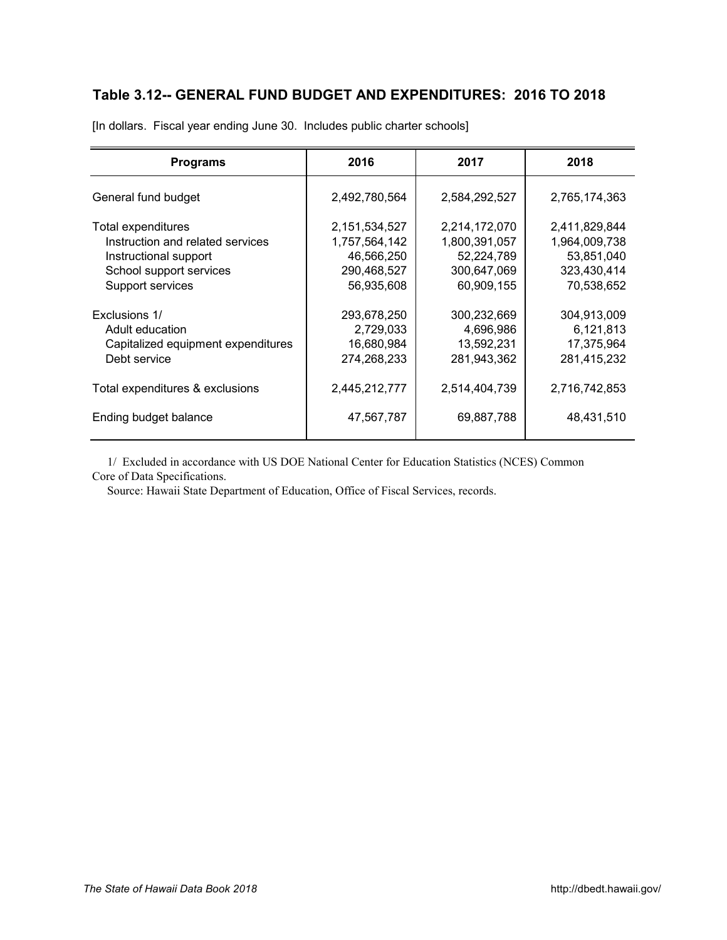# <span id="page-15-0"></span>**Table 3.12-- GENERAL FUND BUDGET AND EXPENDITURES: 2016 TO 2018** *X13A0T*

| <b>Programs</b>                                                                                                                | 2016                                                                      | 2017                                                                      | 2018                                                                      |
|--------------------------------------------------------------------------------------------------------------------------------|---------------------------------------------------------------------------|---------------------------------------------------------------------------|---------------------------------------------------------------------------|
| General fund budget                                                                                                            | 2,492,780,564                                                             | 2,584,292,527                                                             | 2,765,174,363                                                             |
| Total expenditures<br>Instruction and related services<br>Instructional support<br>School support services<br>Support services | 2,151,534,527<br>1,757,564,142<br>46,566,250<br>290,468,527<br>56,935,608 | 2,214,172,070<br>1,800,391,057<br>52,224,789<br>300,647,069<br>60,909,155 | 2,411,829,844<br>1,964,009,738<br>53,851,040<br>323,430,414<br>70,538,652 |
| Exclusions 1/<br>Adult education<br>Capitalized equipment expenditures<br>Debt service                                         | 293,678,250<br>2,729,033<br>16,680,984<br>274,268,233                     | 300,232,669<br>4,696,986<br>13,592,231<br>281,943,362                     | 304,913,009<br>6,121,813<br>17,375,964<br>281,415,232                     |
| Total expenditures & exclusions                                                                                                | 2,445,212,777                                                             | 2,514,404,739                                                             | 2,716,742,853                                                             |
| Ending budget balance                                                                                                          | 47,567,787                                                                | 69,887,788                                                                | 48,431,510                                                                |

[In dollars. Fiscal year ending June 30. Includes public charter schools]

 1/ Excluded in accordance with US DOE National Center for Education Statistics (NCES) Common Core of Data Specifications.

Source: Hawaii State Department of Education, Office of Fiscal Services, records.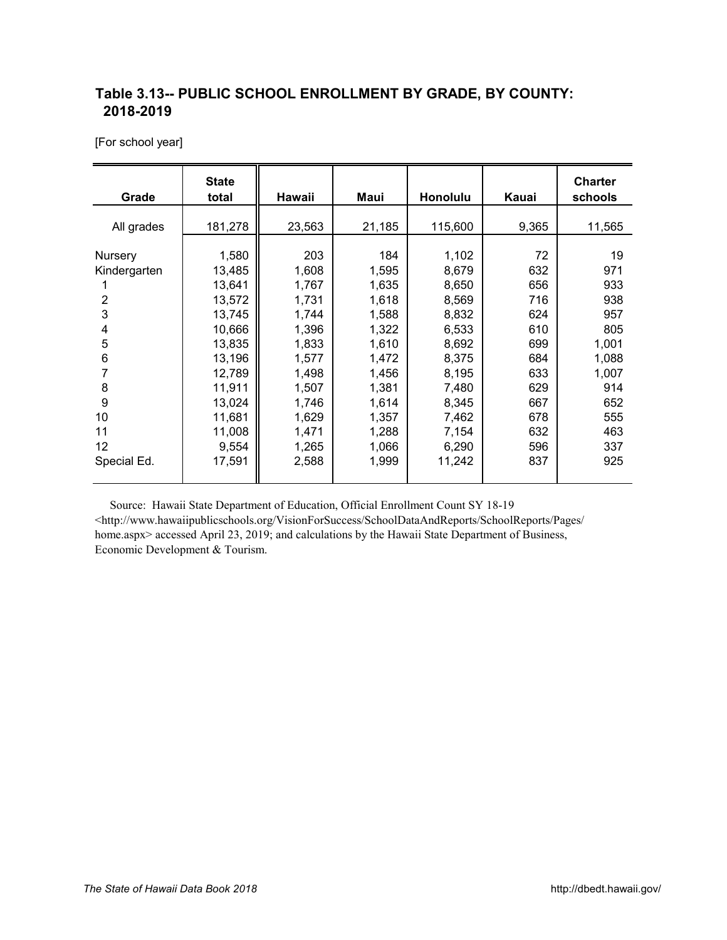## <span id="page-16-0"></span>**Table 3.13-- PUBLIC SCHOOL ENROLLMENT BY GRADE, BY COUNTY:** *X14A0T*  **2018-2019**

[For school year]

| Grade                                                            | <b>State</b><br>total                                                                                               | Hawaii                                                                                                 | Maui<br>Honolulu                                                                                       |                                                                                                          | Kauai                                                                           | <b>Charter</b><br>schools                                                             |
|------------------------------------------------------------------|---------------------------------------------------------------------------------------------------------------------|--------------------------------------------------------------------------------------------------------|--------------------------------------------------------------------------------------------------------|----------------------------------------------------------------------------------------------------------|---------------------------------------------------------------------------------|---------------------------------------------------------------------------------------|
| All grades                                                       | 181,278                                                                                                             | 23,563                                                                                                 | 21,185                                                                                                 | 115,600                                                                                                  | 9,365                                                                           | 11,565                                                                                |
| Nursery<br>Kindergarten<br>2<br>3<br>4<br>5<br>6<br>8<br>9<br>10 | 1,580<br>13,485<br>13,641<br>13,572<br>13,745<br>10,666<br>13,835<br>13,196<br>12,789<br>11,911<br>13,024<br>11,681 | 203<br>1,608<br>1,767<br>1,731<br>1,744<br>1,396<br>1,833<br>1,577<br>1,498<br>1,507<br>1,746<br>1,629 | 184<br>1,595<br>1,635<br>1,618<br>1,588<br>1,322<br>1,610<br>1,472<br>1,456<br>1,381<br>1,614<br>1,357 | 1,102<br>8,679<br>8,650<br>8,569<br>8,832<br>6,533<br>8,692<br>8,375<br>8,195<br>7,480<br>8,345<br>7,462 | 72<br>632<br>656<br>716<br>624<br>610<br>699<br>684<br>633<br>629<br>667<br>678 | 19<br>971<br>933<br>938<br>957<br>805<br>1,001<br>1,088<br>1,007<br>914<br>652<br>555 |
| 11<br>12<br>Special Ed.                                          | 11,008<br>9,554<br>17,591                                                                                           | 1,471<br>1,265<br>2,588                                                                                | 1,288<br>1,066<br>1,999                                                                                | 7,154<br>6,290<br>11,242                                                                                 | 632<br>596<br>837                                                               | 463<br>337<br>925                                                                     |

 Source: Hawaii State Department of Education, Official Enrollment Count SY 18-19 <[http://www.hawaiipublicschools.org/VisionForSuccess/SchoolDataAndReports/SchoolReports/Pages/](http://www.hawaiipublicschools.org/VisionForSuccess/SchoolDataAndReports/SchoolReports/Pages/home.aspx) [home.aspx> ac](http://www.hawaiipublicschools.org/VisionForSuccess/SchoolDataAndReports/SchoolReports/Pages/home.aspx)cessed April 23, 2019; and calculations by the Hawaii State Department of Business, Economic Development & Tourism.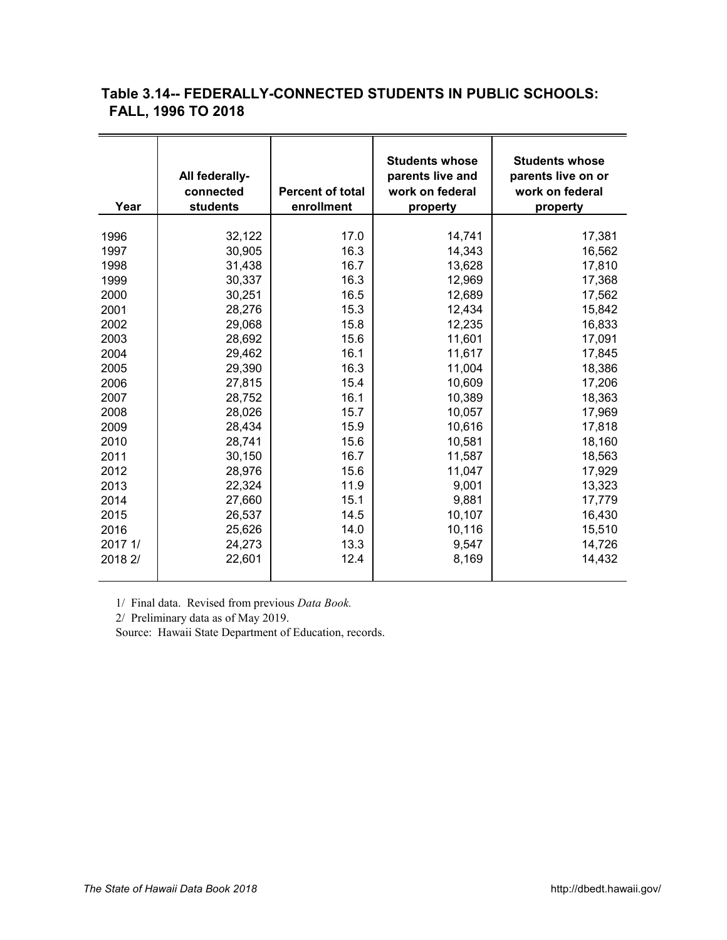## <span id="page-17-0"></span>**Table 3.14-- FEDERALLY-CONNECTED STUDENTS IN PUBLIC SCHOOLS:** *X15A0T*  **FALL, 1996 TO 2018**

| Year    | All federally-<br>connected<br>students | <b>Percent of total</b><br>enrollment | <b>Students whose</b><br>parents live and<br>work on federal<br>property | <b>Students whose</b><br>parents live on or<br>work on federal<br>property |
|---------|-----------------------------------------|---------------------------------------|--------------------------------------------------------------------------|----------------------------------------------------------------------------|
| 1996    | 32,122                                  | 17.0                                  | 14,741                                                                   | 17,381                                                                     |
| 1997    | 30,905                                  | 16.3                                  | 14,343                                                                   | 16,562                                                                     |
| 1998    | 31,438                                  | 16.7                                  | 13,628                                                                   | 17,810                                                                     |
| 1999    | 30,337                                  | 16.3                                  | 12,969                                                                   | 17,368                                                                     |
| 2000    | 30,251                                  | 16.5                                  | 12,689                                                                   | 17,562                                                                     |
| 2001    | 28,276                                  | 15.3                                  | 12,434                                                                   | 15,842                                                                     |
| 2002    | 29,068                                  | 15.8                                  | 12,235                                                                   | 16,833                                                                     |
| 2003    | 28,692                                  | 15.6                                  | 11,601                                                                   | 17,091                                                                     |
| 2004    | 29,462                                  | 16.1                                  | 11,617                                                                   | 17,845                                                                     |
| 2005    | 29,390                                  | 16.3                                  | 11,004                                                                   | 18,386                                                                     |
| 2006    | 27,815                                  | 15.4                                  | 10,609                                                                   | 17,206                                                                     |
| 2007    | 28,752                                  | 16.1                                  | 10,389                                                                   | 18,363                                                                     |
| 2008    | 28,026                                  | 15.7                                  | 10,057                                                                   | 17,969                                                                     |
| 2009    | 28,434                                  | 15.9                                  | 10,616                                                                   | 17,818                                                                     |
| 2010    | 28,741                                  | 15.6                                  | 10,581                                                                   | 18,160                                                                     |
| 2011    | 30,150                                  | 16.7                                  | 11,587                                                                   | 18,563                                                                     |
| 2012    | 28,976                                  | 15.6                                  | 11,047                                                                   | 17,929                                                                     |
| 2013    | 22,324                                  | 11.9                                  | 9,001                                                                    | 13,323                                                                     |
| 2014    | 27,660                                  | 15.1                                  | 9,881                                                                    | 17,779                                                                     |
| 2015    | 26,537                                  | 14.5                                  | 10,107                                                                   | 16,430                                                                     |
| 2016    | 25,626                                  | 14.0                                  | 10,116                                                                   | 15,510                                                                     |
| 2017 1/ | 24,273                                  | 13.3                                  | 9,547                                                                    | 14,726                                                                     |
| 2018 2/ | 22,601                                  | 12.4                                  | 8,169                                                                    | 14,432                                                                     |

1/ Final data. Revised from previous *Data Book.*

2/ Preliminary data as of May 2019.

Source: Hawaii State Department of Education, records.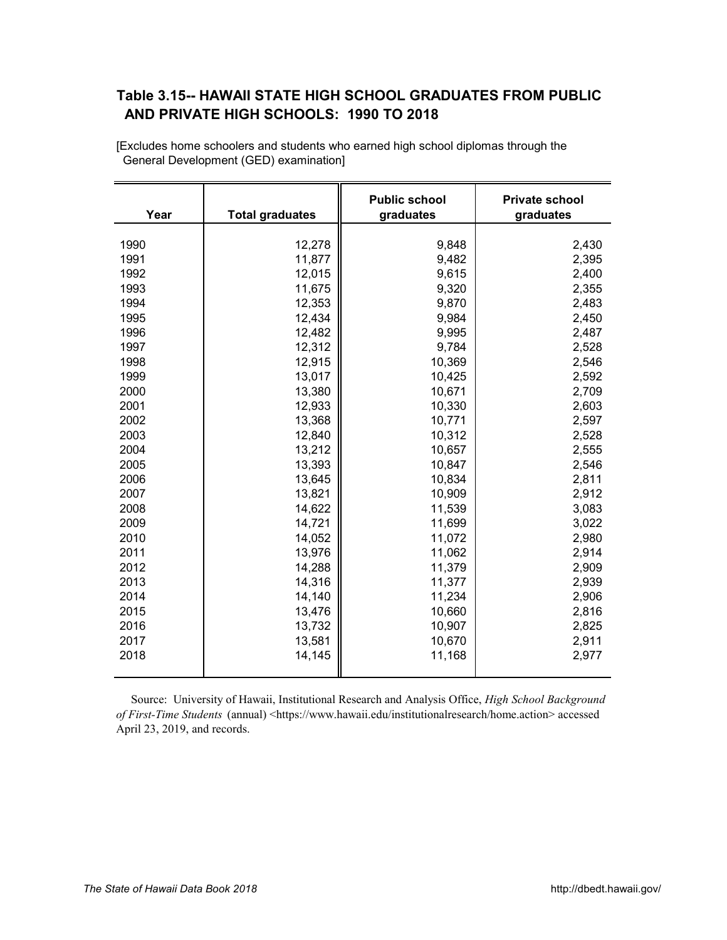## <span id="page-18-0"></span>**Table 3.15-- HAWAII STATE HIGH SCHOOL GRADUATES FROM PUBLIC** *X16A0T*  **AND PRIVATE HIGH SCHOOLS: 1990 TO 2018**

| Year | <b>Total graduates</b> | <b>Public school</b><br>graduates | <b>Private school</b><br>graduates |
|------|------------------------|-----------------------------------|------------------------------------|
|      |                        |                                   |                                    |
| 1990 | 12,278                 | 9,848                             | 2,430                              |
| 1991 | 11,877                 | 9,482                             | 2,395                              |
| 1992 | 12,015                 | 9,615                             | 2,400                              |
| 1993 | 11,675                 | 9,320                             | 2,355                              |
| 1994 | 12,353                 | 9,870                             | 2,483                              |
| 1995 | 12,434                 | 9,984                             | 2,450                              |
| 1996 | 12,482                 | 9,995                             | 2,487                              |
| 1997 | 12,312                 | 9,784                             | 2,528                              |
| 1998 | 12,915                 | 10,369                            | 2,546                              |
| 1999 | 13,017                 | 10,425                            | 2,592                              |
| 2000 | 13,380                 | 10,671                            | 2,709                              |
| 2001 | 12,933                 | 10,330                            | 2,603                              |
| 2002 | 13,368                 | 10,771                            | 2,597                              |
| 2003 | 12,840                 | 10,312                            | 2,528                              |
| 2004 | 13,212                 | 10,657                            | 2,555                              |
| 2005 | 13,393                 | 10,847                            | 2,546                              |
| 2006 | 13,645                 | 10,834                            | 2,811                              |
| 2007 | 13,821                 | 10,909                            | 2,912                              |
| 2008 | 14,622                 | 11,539                            | 3,083                              |
| 2009 | 14,721                 | 11,699                            | 3,022                              |
| 2010 | 14,052                 | 11,072                            | 2,980                              |
| 2011 | 13,976                 | 11,062                            | 2,914                              |
| 2012 | 14,288                 | 11,379                            | 2,909                              |
| 2013 | 14,316                 | 11,377                            | 2,939                              |
| 2014 | 14,140                 | 11,234                            | 2,906                              |
| 2015 | 13,476                 | 10,660                            | 2,816                              |
| 2016 | 13,732                 | 10,907                            | 2,825                              |
| 2017 | 13,581                 | 10,670                            | 2,911                              |
| 2018 | 14,145                 | 11,168                            | 2,977                              |
|      |                        |                                   |                                    |

 General Development (GED) examination] [Excludes home schoolers and students who earned high school diplomas through the

 Source: University of Hawaii, Institutional Research and Analysis Office, *High School Background of First-Time Students* (annual) <[https://www.hawaii.edu/institutionalresearch/home.action> ac](https://www.hawaii.edu/institutionalresearch/home.action)cessed April 23, 2019, and records.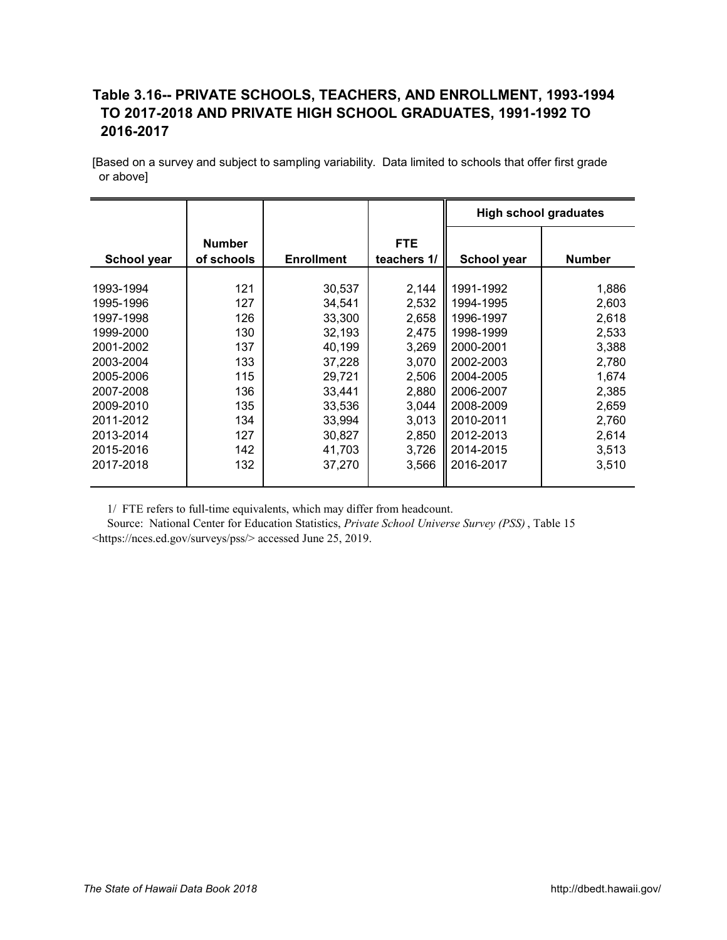## <span id="page-19-0"></span>**Table 3.16-- PRIVATE SCHOOLS, TEACHERS, AND ENROLLMENT, 1993-1994**  *X17A0T*  **TO 2017-2018 AND PRIVATE HIGH SCHOOL GRADUATES, 1991-1992 TO 2016-2017**

[Based on a survey and subject to sampling variability. Data limited to schools that offer first grade or above]

|             |                             |                   |                           | <b>High school graduates</b> |               |
|-------------|-----------------------------|-------------------|---------------------------|------------------------------|---------------|
| School year | <b>Number</b><br>of schools | <b>Enrollment</b> | <b>FTE</b><br>teachers 1/ | School year                  | <b>Number</b> |
| 1993-1994   | 121                         | 30,537            | 2,144                     | 1991-1992                    | 1,886         |
| 1995-1996   | 127                         | 34,541            | 2,532                     | 1994-1995                    | 2,603         |
| 1997-1998   | 126                         | 33,300            | 2,658                     | 1996-1997                    | 2,618         |
| 1999-2000   | 130                         | 32,193            | 2,475                     | 1998-1999                    | 2,533         |
| 2001-2002   | 137                         | 40,199            | 3,269                     | 2000-2001                    | 3,388         |
| 2003-2004   | 133                         | 37,228            | 3,070                     | 2002-2003                    | 2,780         |
| 2005-2006   | 115                         | 29,721            | 2,506                     | 2004-2005                    | 1,674         |
| 2007-2008   | 136                         | 33,441            | 2,880                     | 2006-2007                    | 2,385         |
| 2009-2010   | 135                         | 33,536            | 3,044                     | 2008-2009                    | 2,659         |
| 2011-2012   | 134                         | 33,994            | 3,013                     | 2010-2011                    | 2,760         |
| 2013-2014   | 127                         | 30,827            | 2,850                     | 2012-2013                    | 2,614         |
| 2015-2016   | 142                         | 41,703            | 3,726                     | 2014-2015                    | 3,513         |
| 2017-2018   | 132                         | 37,270            | 3,566                     | 2016-2017                    | 3,510         |

1/ FTE refers to full-time equivalents, which may differ from headcount.

 Source: National Center for Education Statistics, *Private School Universe Survey (PSS)*, Table 15 [<https://nces.ed.gov/surveys/pss/> ac](https://nces.ed.gov/surveys/pss/)cessed June 25, 2019.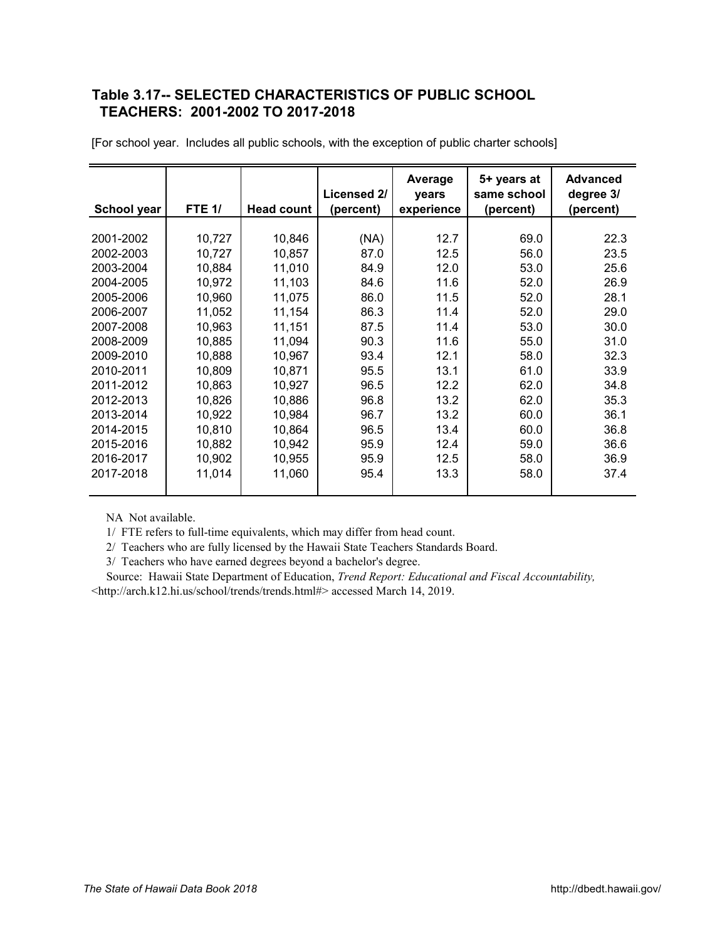## <span id="page-20-0"></span>**Table 3.17-- SELECTED CHARACTERISTICS OF PUBLIC SCHOOL**  *X18A0T*  **TEACHERS: 2001-2002 TO 2017-2018**

| School year | <b>FTE 1/</b> | <b>Head count</b> | Licensed 2/<br>(percent) | Average<br>years<br>experience | 5+ years at<br>same school<br>(percent) | <b>Advanced</b><br>degree 3/<br>(percent) |
|-------------|---------------|-------------------|--------------------------|--------------------------------|-----------------------------------------|-------------------------------------------|
|             |               |                   |                          |                                |                                         |                                           |
| 2001-2002   | 10,727        | 10,846            | (NA)                     | 12.7                           | 69.0                                    | 22.3                                      |
| 2002-2003   | 10,727        | 10,857            | 87.0                     | 12.5                           | 56.0                                    | 23.5                                      |
| 2003-2004   | 10,884        | 11,010            | 84.9                     | 12.0                           | 53.0                                    | 25.6                                      |
| 2004-2005   | 10,972        | 11,103            | 84.6                     | 11.6                           | 52.0                                    | 26.9                                      |
| 2005-2006   | 10,960        | 11,075            | 86.0                     | 11.5                           | 52.0                                    | 28.1                                      |
| 2006-2007   | 11,052        | 11,154            | 86.3                     | 11.4                           | 52.0                                    | 29.0                                      |
| 2007-2008   | 10,963        | 11,151            | 87.5                     | 11.4                           | 53.0                                    | 30.0                                      |
| 2008-2009   | 10,885        | 11,094            | 90.3                     | 11.6                           | 55.0                                    | 31.0                                      |
| 2009-2010   | 10,888        | 10,967            | 93.4                     | 12.1                           | 58.0                                    | 32.3                                      |
| 2010-2011   | 10,809        | 10,871            | 95.5                     | 13.1                           | 61.0                                    | 33.9                                      |
| 2011-2012   | 10,863        | 10,927            | 96.5                     | 12.2                           | 62.0                                    | 34.8                                      |
| 2012-2013   | 10,826        | 10,886            | 96.8                     | 13.2                           | 62.0                                    | 35.3                                      |
| 2013-2014   | 10,922        | 10,984            | 96.7                     | 13.2                           | 60.0                                    | 36.1                                      |
| 2014-2015   | 10,810        | 10,864            | 96.5                     | 13.4                           | 60.0                                    | 36.8                                      |
| 2015-2016   | 10,882        | 10,942            | 95.9                     | 12.4                           | 59.0                                    | 36.6                                      |
| 2016-2017   | 10,902        | 10,955            | 95.9                     | 12.5                           | 58.0                                    | 36.9                                      |
| 2017-2018   | 11,014        | 11,060            | 95.4                     | 13.3                           | 58.0                                    | 37.4                                      |

[For school year. Includes all public schools, with the exception of public charter schools]

NA Not available.

1/ FTE refers to full-time equivalents, which may differ from head count.

2/ Teachers who are fully licensed by the Hawaii State Teachers Standards Board.

3/ Teachers who have earned degrees beyond a bachelor's degree.

 Source: Hawaii State Department of Education, *Trend Report: Educational and Fiscal Accountability,* <[http://arch.k12.hi.us/school/trends/trends.html#> ac](http://arch.k12.hi.us/school/trends/trends.html#)cessed March 14, 2019.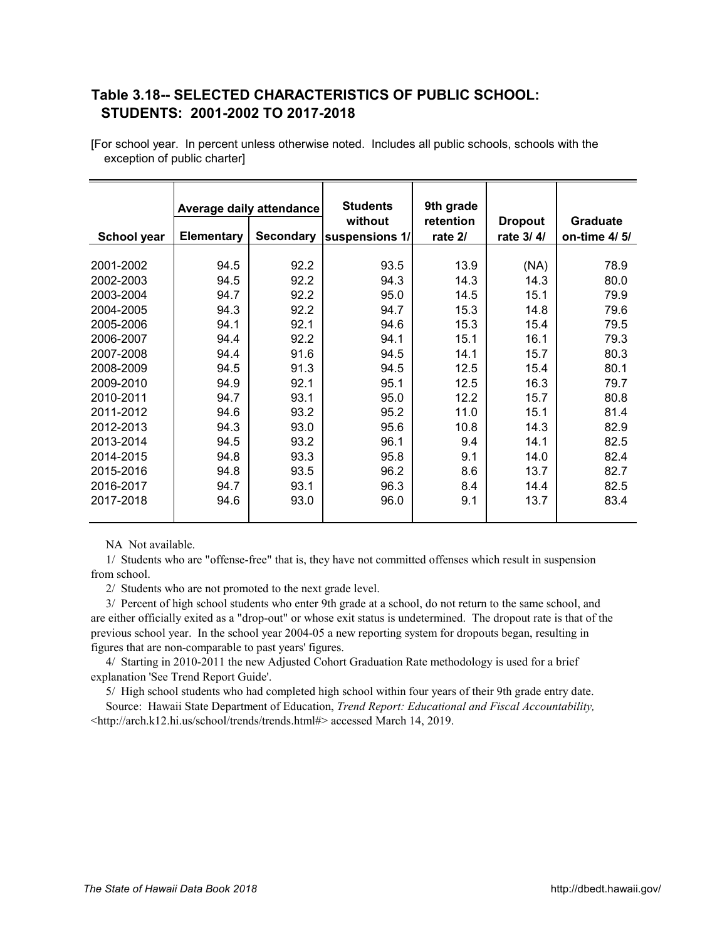## <span id="page-21-0"></span>**Table 3.18-- SELECTED CHARACTERISTICS OF PUBLIC SCHOOL:**  *X19A0T* **STUDENTS: 2001-2002 TO 2017-2018**

|             | Average daily attendance |                  | <b>Students</b>           | 9th grade            |                             |                                 |
|-------------|--------------------------|------------------|---------------------------|----------------------|-----------------------------|---------------------------------|
| School year | <b>Elementary</b>        | <b>Secondary</b> | without<br>suspensions 1/ | retention<br>rate 2/ | <b>Dropout</b><br>rate 3/4/ | <b>Graduate</b><br>on-time 4/5/ |
| 2001-2002   | 94.5                     | 92.2             | 93.5                      | 13.9                 | (NA)                        | 78.9                            |
| 2002-2003   | 94.5                     | 92.2             | 94.3                      | 14.3                 | 14.3                        | 80.0                            |
| 2003-2004   | 94.7                     | 92.2             | 95.0                      | 14.5                 | 15.1                        | 79.9                            |
| 2004-2005   | 94.3                     | 92.2             | 94.7                      | 15.3                 | 14.8                        | 79.6                            |
| 2005-2006   | 94.1                     | 92.1             | 94.6                      | 15.3                 | 15.4                        | 79.5                            |
| 2006-2007   | 94.4                     | 92.2             | 94.1                      | 15.1                 | 16.1                        | 79.3                            |
| 2007-2008   | 94.4                     | 91.6             | 94.5                      | 14.1                 | 15.7                        | 80.3                            |
| 2008-2009   | 94.5                     | 91.3             | 94.5                      | 12.5                 | 15.4                        | 80.1                            |
| 2009-2010   | 94.9                     | 92.1             | 95.1                      | 12.5                 | 16.3                        | 79.7                            |
| 2010-2011   | 94.7                     | 93.1             | 95.0                      | 12.2                 | 15.7                        | 80.8                            |
| 2011-2012   | 94.6                     | 93.2             | 95.2                      | 11.0                 | 15.1                        | 81.4                            |
| 2012-2013   | 94.3                     | 93.0             | 95.6                      | 10.8                 | 14.3                        | 82.9                            |
| 2013-2014   | 94.5                     | 93.2             | 96.1                      | 9.4                  | 14.1                        | 82.5                            |
| 2014-2015   | 94.8                     | 93.3             | 95.8                      | 9.1                  | 14.0                        | 82.4                            |
| 2015-2016   | 94.8                     | 93.5             | 96.2                      | 8.6                  | 13.7                        | 82.7                            |
| 2016-2017   | 94.7                     | 93.1             | 96.3                      | 8.4                  | 14.4                        | 82.5                            |
| 2017-2018   | 94.6                     | 93.0             | 96.0                      | 9.1                  | 13.7                        | 83.4                            |

[For school year. In percent unless otherwise noted. Includes all public schools, schools with the exception of public charter]

NA Not available.

 1/ Students who are "offense-free" that is, they have not committed offenses which result in suspension from school.

2/ Students who are not promoted to the next grade level.

 3/ Percent of high school students who enter 9th grade at a school, do not return to the same school, and are either officially exited as a "drop-out" or whose exit status is undetermined. The dropout rate is that of the previous school year. In the school year 2004-05 a new reporting system for dropouts began, resulting in figures that are non-comparable to past years' figures.

 4/ Starting in 2010-2011 the new Adjusted Cohort Graduation Rate methodology is used for a brief explanation 'See Trend Report Guide'.

5/ High school students who had completed high school within four years of their 9th grade entry date.

 Source: Hawaii State Department of Education, *Trend Report: Educational and Fiscal Accountability,* [<http://arch.k12.hi.us/school/trends/trends.html#> ac](http://arch.k12.hi.us/school/trends/trends.html#)cessed March 14, 2019.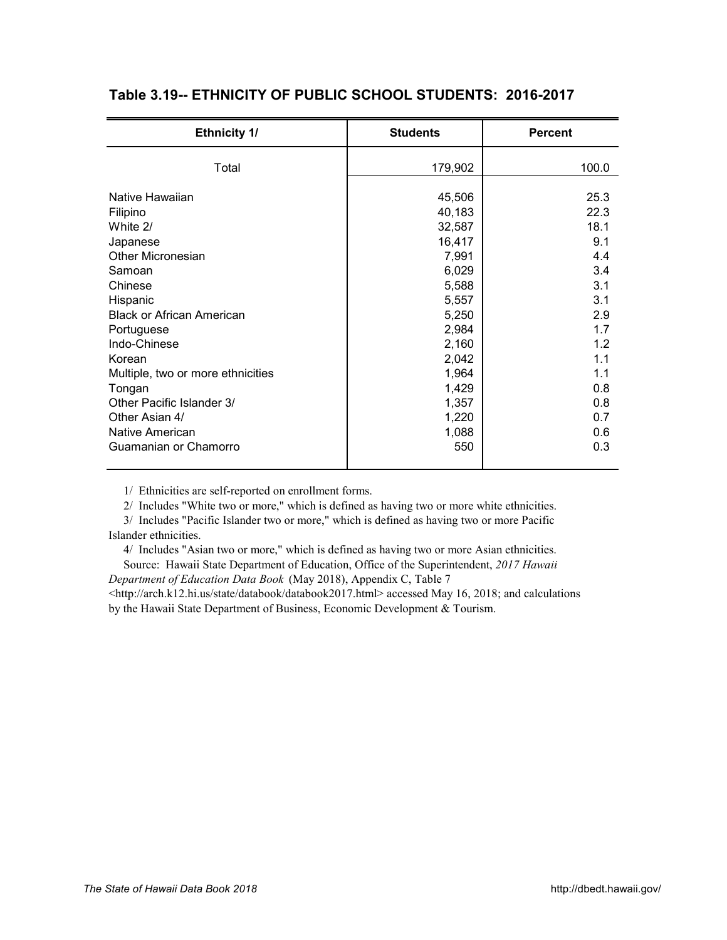| <b>Ethnicity 1/</b>                                                                                                                                                                                                                                                                                           | <b>Students</b>                                                                                                                                           | <b>Percent</b>                                                                                                         |
|---------------------------------------------------------------------------------------------------------------------------------------------------------------------------------------------------------------------------------------------------------------------------------------------------------------|-----------------------------------------------------------------------------------------------------------------------------------------------------------|------------------------------------------------------------------------------------------------------------------------|
| Total                                                                                                                                                                                                                                                                                                         | 179,902                                                                                                                                                   | 100.0                                                                                                                  |
| Native Hawaiian<br>Filipino<br>White 2/<br>Japanese<br><b>Other Micronesian</b><br>Samoan<br>Chinese<br>Hispanic<br><b>Black or African American</b><br>Portuguese<br>Indo-Chinese<br>Korean<br>Multiple, two or more ethnicities<br>Tongan<br>Other Pacific Islander 3/<br>Other Asian 4/<br>Native American | 45,506<br>40,183<br>32,587<br>16,417<br>7,991<br>6,029<br>5,588<br>5,557<br>5,250<br>2,984<br>2,160<br>2,042<br>1,964<br>1,429<br>1,357<br>1,220<br>1,088 | 25.3<br>22.3<br>18.1<br>9.1<br>4.4<br>3.4<br>3.1<br>3.1<br>2.9<br>1.7<br>1.2<br>1.1<br>1.1<br>0.8<br>0.8<br>0.7<br>0.6 |
| Guamanian or Chamorro                                                                                                                                                                                                                                                                                         | 550                                                                                                                                                       | 0.3                                                                                                                    |

# <span id="page-22-0"></span>Table 3.19-- ETHNICITY OF PUBLIC SCHOOL STUDENTS: 2016-2017

1/ Ethnicities are self-reported on enrollment forms.

2/ Includes "White two or more," which is defined as having two or more white ethnicities.

 3/ Includes "Pacific Islander two or more," which is defined as having two or more Pacific Islander ethnicities.

4/ Includes "Asian two or more," which is defined as having two or more Asian ethnicities.

Source: Hawaii State Department of Education, Office of the Superintendent, *2017 Hawaii* 

*Department of Education Data Book* (May 2018), Appendix C, Table 7

[<http://arch.k12.hi.us/state/databook/databook2017.html> ac](http://arch.k12.hi.us/state/databook/databook2017.html)cessed May 16, 2018; and calculations by the Hawaii State Department of Business, Economic Development & Tourism.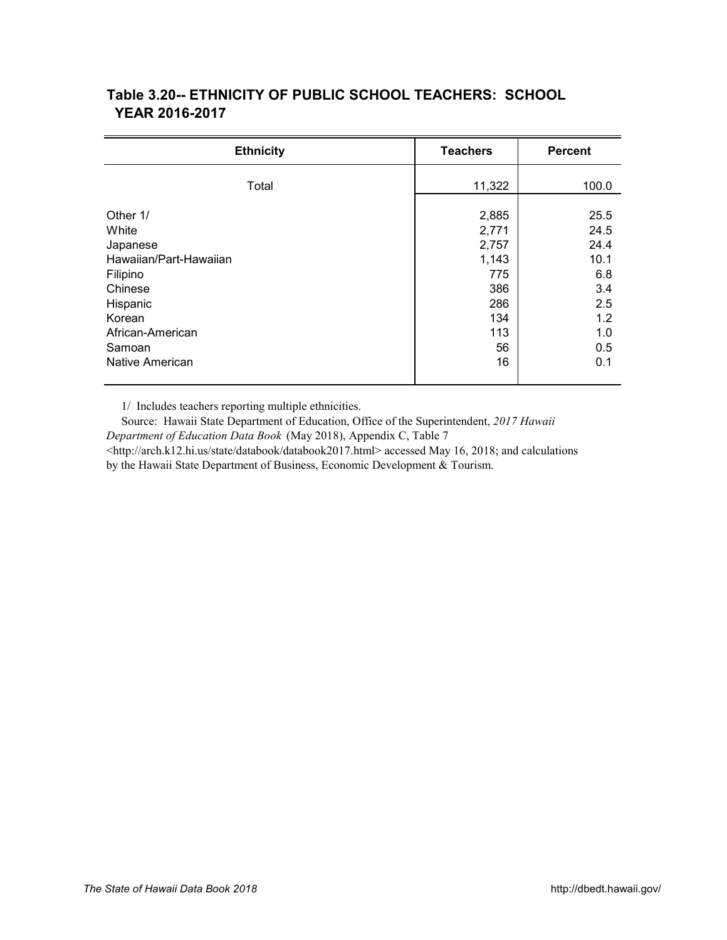| <b>Ethnicity</b>       | <b>Teachers</b> | <b>Percent</b> |
|------------------------|-----------------|----------------|
| Total                  | 11,322          | 100.0          |
| Other 1/               | 2,885           | 25.5           |
| White                  | 2,771           | 24.5           |
| Japanese               | 2,757           | 24.4           |
| Hawaiian/Part-Hawaiian | 1,143           | 10.1           |
| Filipino               | 775             | 6.8            |
| Chinese                | 386             | 3.4            |
| Hispanic               | 286             | 2.5            |
| Korean                 | 134             | 1.2            |
| African-American       | 113             | 1.0            |
| Samoan                 | 56              | 0.5            |
| Native American        | 16              | 0.1            |

## <span id="page-23-0"></span>**Table 3.20-- ETHNICITY OF PUBLIC SCHOOL TEACHERS: SCHOOL**  *X21A0T*  **YEAR 2016-2017**

1/ Includes teachers reporting multiple ethnicities.

 Source: Hawaii State Department of Education, Office of the Superintendent, *2017 Hawaii Department of Education Data Book* (May 2018), Appendix C, Table 7 [<http://arch.k12.hi.us/state/databook/databook2017.html> ac](http://arch.k12.hi.us/state/databook/databook2017.html)cessed May 16, 2018; and calculations by the Hawaii State Department of Business, Economic Development & Tourism.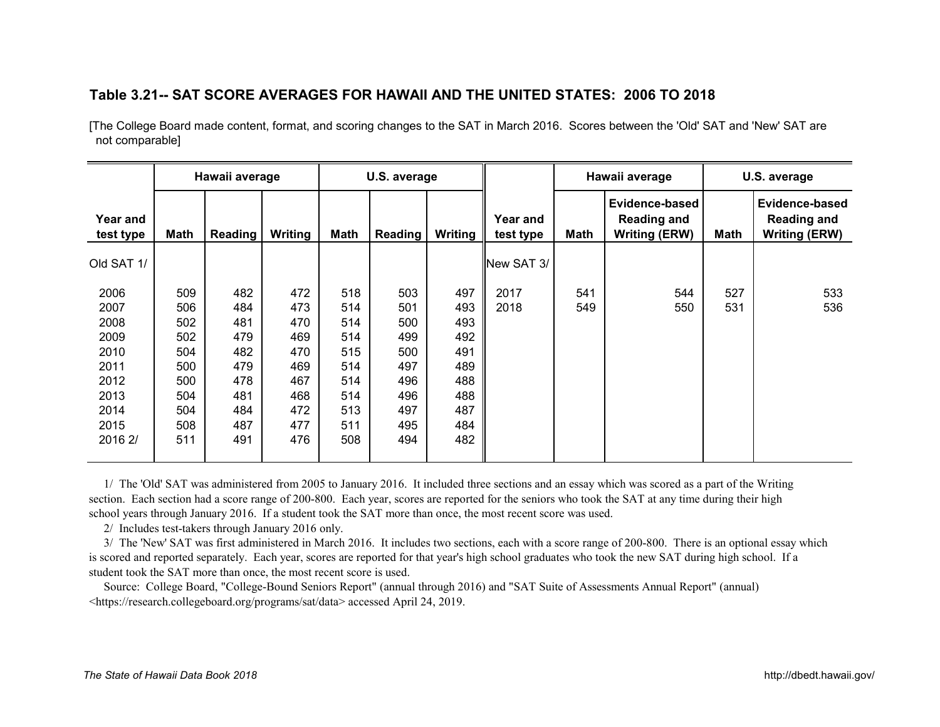#### <span id="page-24-0"></span>Table 3.21-- SAT SCORE AVERAGES FOR HAWAII AND THE UNITED STATES: 2006 TO 2018

[The College Board made content, format, and scoring changes to the SAT in March 2016. Scores between the 'Old' SAT and 'New' SAT are not comparable]

|                              |            | Hawaii average |            |            | U.S. average |            |                       | Hawaii average |                                                              | U.S. average |                                                              |
|------------------------------|------------|----------------|------------|------------|--------------|------------|-----------------------|----------------|--------------------------------------------------------------|--------------|--------------------------------------------------------------|
| <b>Year and</b><br>test type | Math       | Reading        | Writing    | Math       | Reading      | Writing    | Year and<br>test type | Math           | Evidence-based<br><b>Reading and</b><br><b>Writing (ERW)</b> | Math         | Evidence-based<br><b>Reading and</b><br><b>Writing (ERW)</b> |
| Old SAT 1/                   |            |                |            |            |              |            | New SAT 3/            |                |                                                              |              |                                                              |
| 2006                         | 509        | 482            | 472        | 518        | 503          | 497        | 2017                  | 541            | 544                                                          | 527          | 533                                                          |
| 2007<br>2008                 | 506<br>502 | 484<br>481     | 473<br>470 | 514<br>514 | 501<br>500   | 493<br>493 | 2018                  | 549            | 550                                                          | 531          | 536                                                          |
| 2009                         | 502        | 479            | 469        | 514        | 499          | 492        |                       |                |                                                              |              |                                                              |
| 2010                         | 504        | 482            | 470        | 515        | 500          | 491        |                       |                |                                                              |              |                                                              |
| 2011                         | 500        | 479            | 469        | 514        | 497          | 489        |                       |                |                                                              |              |                                                              |
| 2012                         | 500        | 478            | 467        | 514        | 496          | 488        |                       |                |                                                              |              |                                                              |
| 2013                         | 504        | 481            | 468        | 514        | 496          | 488        |                       |                |                                                              |              |                                                              |
| 2014                         | 504        | 484            | 472        | 513        | 497          | 487        |                       |                |                                                              |              |                                                              |
| 2015                         | 508        | 487            | 477        | 511        | 495          | 484        |                       |                |                                                              |              |                                                              |
| 2016 2/                      | 511        | 491            | 476        | 508        | 494          | 482        |                       |                |                                                              |              |                                                              |

 1/ The 'Old' SAT was administered from 2005 to January 2016. It included three sections and an essay which was scored as a part of the Writing section. Each section had a score range of 200-800. Each year, scores are reported for the seniors who took the SAT at any time during their high school years through January 2016. If a student took the SAT more than once, the most recent score was used.

2/ Includes test-takers through January 2016 only.

 3/ The 'New' SAT was first administered in March 2016. It includes two sections, each with a score range of 200-800. There is an optional essay which is scored and reported separately. Each year, scores are reported for that year's high school graduates who took the new SAT during high school. If a student took the SAT more than once, the most recent score is used.

 Source: College Board, "College-Bound Seniors Report" (annual through 2016) and "SAT Suite of Assessments Annual Report" (annual) <[https://research.collegeboard.org/programs/sat/data> ac](https://research.collegeboard.org/programs/sat/data)cessed April 24, 2019.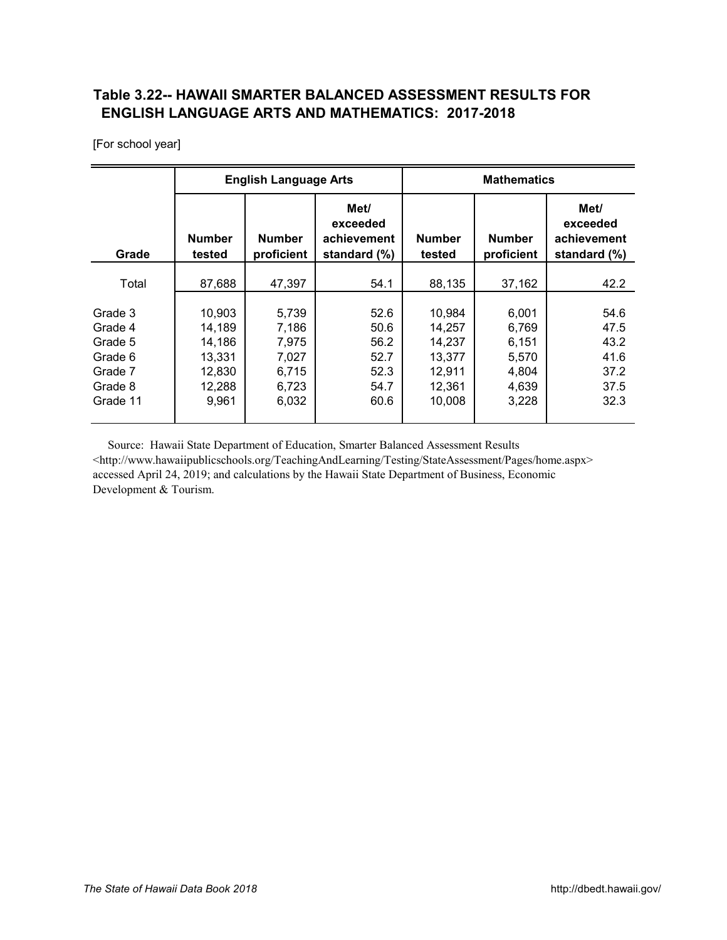## <span id="page-25-0"></span>**Table 3.22-- HAWAII SMARTER BALANCED ASSESSMENT RESULTS FOR** *X23A0T*  **ENGLISH LANGUAGE ARTS AND MATHEMATICS: 2017-2018**

[For school year]

|                                                                            |                                                                   | <b>English Language Arts</b>                                |                                                      | <b>Mathematics</b>                                                 |                                                             |                                                      |  |
|----------------------------------------------------------------------------|-------------------------------------------------------------------|-------------------------------------------------------------|------------------------------------------------------|--------------------------------------------------------------------|-------------------------------------------------------------|------------------------------------------------------|--|
| Grade                                                                      | <b>Number</b><br>tested                                           | <b>Number</b><br>proficient                                 | Met/<br>exceeded<br>achievement<br>standard (%)      |                                                                    | <b>Number</b><br>proficient                                 | Met/<br>exceeded<br>achievement<br>standard (%)      |  |
| Total                                                                      | 87,688                                                            | 47,397                                                      | 54.1                                                 | 88,135                                                             | 37,162                                                      | 42.2                                                 |  |
| Grade 3<br>Grade 4<br>Grade 5<br>Grade 6<br>Grade 7<br>Grade 8<br>Grade 11 | 10,903<br>14,189<br>14,186<br>13,331<br>12,830<br>12,288<br>9,961 | 5,739<br>7,186<br>7,975<br>7,027<br>6,715<br>6,723<br>6,032 | 52.6<br>50.6<br>56.2<br>52.7<br>52.3<br>54.7<br>60.6 | 10,984<br>14,257<br>14,237<br>13,377<br>12,911<br>12,361<br>10,008 | 6,001<br>6,769<br>6,151<br>5,570<br>4,804<br>4,639<br>3,228 | 54.6<br>47.5<br>43.2<br>41.6<br>37.2<br>37.5<br>32.3 |  |

 Source: Hawaii State Department of Education, Smarter Balanced Assessment Results <[http://www.hawaiipublicschools.org/TeachingAndLearning/Testing/StateAssessment/Pages/home.aspx>](http://www.hawaiipublicschools.org/TeachingAndLearning/Testing/StateAssessment/Pages/home.aspx)  accessed April 24, 2019; and calculations by the Hawaii State Department of Business, Economic Development & Tourism.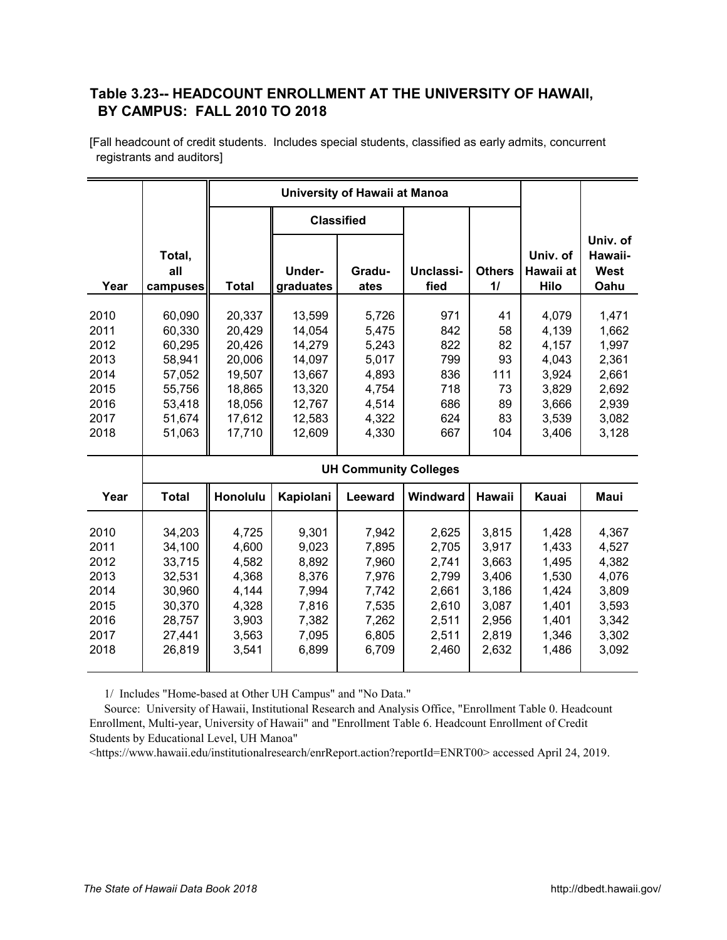#### <span id="page-26-0"></span>**Table 3.23-- HEADCOUNT ENROLLMENT AT THE UNIVERSITY OF HAWAII,**  *X24A0T*  **BY CAMPUS: FALL 2010 TO 2018**

[Fall headcount of credit students. Includes special students, classified as early admits, concurrent registrants and auditors]

|                                                                      |                                                                                        |                                                                                        | <b>Classified</b>                                                                      |                                                                               |                                                             |                                                      |                                                                               |                                                                               |
|----------------------------------------------------------------------|----------------------------------------------------------------------------------------|----------------------------------------------------------------------------------------|----------------------------------------------------------------------------------------|-------------------------------------------------------------------------------|-------------------------------------------------------------|------------------------------------------------------|-------------------------------------------------------------------------------|-------------------------------------------------------------------------------|
|                                                                      | Total,<br>all                                                                          |                                                                                        | Under-                                                                                 | Gradu-                                                                        | Unclassi-                                                   | <b>Others</b>                                        | Univ. of<br>Hawaii at                                                         | Univ. of<br>Hawaii-<br>West                                                   |
| Year                                                                 | campuses                                                                               | <b>Total</b>                                                                           | graduates                                                                              | ates                                                                          | fied                                                        | $\mathbf{1}$                                         | Hilo                                                                          | Oahu                                                                          |
| 2010<br>2011<br>2012<br>2013<br>2014<br>2015<br>2016<br>2017<br>2018 | 60,090<br>60,330<br>60,295<br>58,941<br>57,052<br>55,756<br>53,418<br>51,674<br>51,063 | 20,337<br>20,429<br>20,426<br>20,006<br>19,507<br>18,865<br>18,056<br>17,612<br>17,710 | 13,599<br>14,054<br>14,279<br>14,097<br>13,667<br>13,320<br>12,767<br>12,583<br>12,609 | 5,726<br>5,475<br>5,243<br>5,017<br>4,893<br>4,754<br>4,514<br>4,322<br>4,330 | 971<br>842<br>822<br>799<br>836<br>718<br>686<br>624<br>667 | 41<br>58<br>82<br>93<br>111<br>73<br>89<br>83<br>104 | 4,079<br>4,139<br>4,157<br>4,043<br>3,924<br>3,829<br>3,666<br>3,539<br>3,406 | 1,471<br>1,662<br>1,997<br>2,361<br>2,661<br>2,692<br>2,939<br>3,082<br>3,128 |
|                                                                      |                                                                                        |                                                                                        |                                                                                        | <b>UH Community Colleges</b>                                                  |                                                             |                                                      |                                                                               |                                                                               |
| Year                                                                 | <b>Total</b>                                                                           | Honolulu                                                                               | Kapiolani                                                                              | <b>Leeward</b>                                                                | Windward                                                    | <b>Hawaii</b>                                        | Kauai                                                                         | Maui                                                                          |
| 2010<br>2011                                                         | 34,203<br>34,100                                                                       | 4,725<br>4,600                                                                         | 9,301<br>9,023                                                                         | 7,942<br>7,895                                                                | 2,625<br>2,705                                              | 3,815<br>3,917                                       | 1,428<br>1,433                                                                | 4,367<br>4,527                                                                |
| 2012<br>2013                                                         | 33,715<br>32,531                                                                       | 4,582<br>4,368                                                                         | 8,892<br>8,376                                                                         | 7,960<br>7,976                                                                | 2,741<br>2,799                                              | 3,663<br>3,406                                       | 1,495<br>1,530                                                                | 4,382<br>4,076                                                                |
| 2014<br>2015<br>2016                                                 | 30,960<br>30,370<br>28,757                                                             | 4,144<br>4,328<br>3,903                                                                | 7,994<br>7,816<br>7,382                                                                | 7,742<br>7,535<br>7,262                                                       | 2,661<br>2,610<br>2,511                                     | 3,186<br>3,087<br>2,956                              | 1,424<br>1,401<br>1,401                                                       | 3,809<br>3,593<br>3,342                                                       |

1/ Includes "Home-based at Other UH Campus" and "No Data."

 Source: University of Hawaii, Institutional Research and Analysis Office, "Enrollment Table 0. Headcount Enrollment, Multi-year, University of Hawaii" and "Enrollment Table 6. Headcount Enrollment of Credit Students by Educational Level, UH Manoa"

2017 27,441 3,563 7,095 6,805 2,511 2,819 1,346 3,302 2018 26,819 3,541 6,899 6,709 2,460 2,632 1,486 3,092

<[https://www.hawaii.edu/institutionalresearch/enrReport.action?reportId=ENRT00> ac](https://www.hawaii.edu/institutionalresearch/enrReport.action?reportId=ENRT00)cessed April 24, 2019.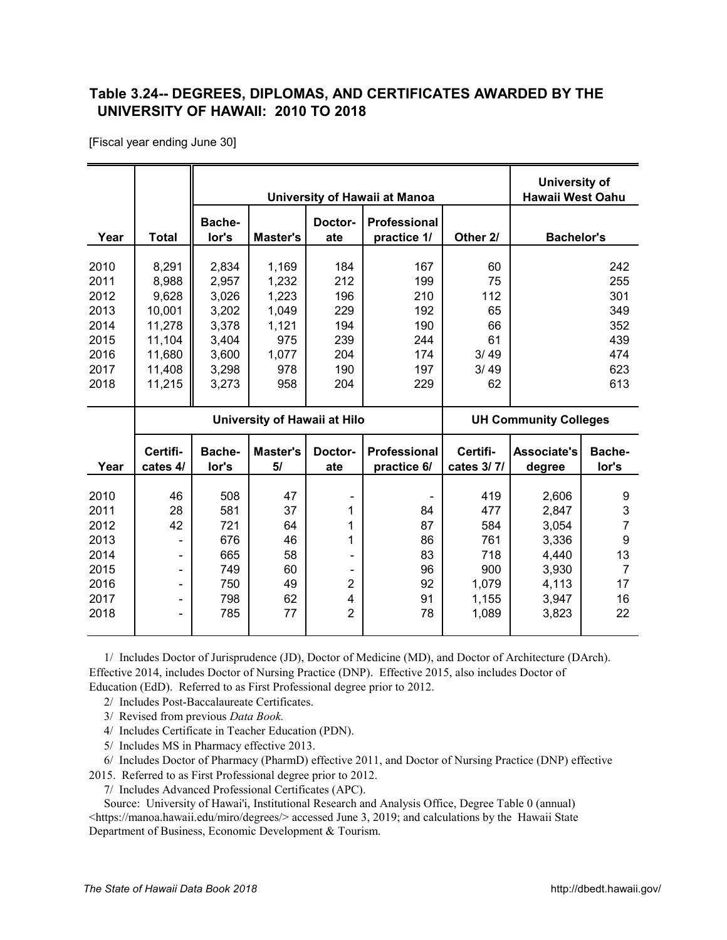#### <span id="page-27-0"></span>**Table 3.24-- DEGREES, DIPLOMAS, AND CERTIFICATES AWARDED BY THE**  *X25A0T*  **UNIVERSITY OF HAWAII: 2010 TO 2018**

[Fiscal year ending June 30]

|                                                                      |                                                                                     |                                                                               |                                                                         |                                                             | University of Hawaii at Manoa                               |                                                                   | University of<br><b>Hawaii West Oahu</b>                                      |                                                                                        |
|----------------------------------------------------------------------|-------------------------------------------------------------------------------------|-------------------------------------------------------------------------------|-------------------------------------------------------------------------|-------------------------------------------------------------|-------------------------------------------------------------|-------------------------------------------------------------------|-------------------------------------------------------------------------------|----------------------------------------------------------------------------------------|
| Year                                                                 | <b>Total</b>                                                                        | Bache-<br>lor's                                                               | <b>Master's</b>                                                         | Doctor-<br>ate                                              | <b>Professional</b><br>practice 1/                          | Other 2/                                                          | <b>Bachelor's</b>                                                             |                                                                                        |
| 2010<br>2011<br>2012<br>2013<br>2014<br>2015<br>2016<br>2017<br>2018 | 8,291<br>8,988<br>9,628<br>10,001<br>11,278<br>11,104<br>11,680<br>11,408<br>11,215 | 2,834<br>2,957<br>3,026<br>3,202<br>3,378<br>3,404<br>3,600<br>3,298<br>3,273 | 1,169<br>1,232<br>1,223<br>1,049<br>1,121<br>975<br>1,077<br>978<br>958 | 184<br>212<br>196<br>229<br>194<br>239<br>204<br>190<br>204 | 167<br>199<br>210<br>192<br>190<br>244<br>174<br>197<br>229 | 60<br>75<br>112<br>65<br>66<br>61<br>3/49<br>3/49<br>62           |                                                                               | 242<br>255<br>301<br>349<br>352<br>439<br>474<br>623<br>613                            |
|                                                                      |                                                                                     | University of Hawaii at Hilo                                                  |                                                                         |                                                             |                                                             |                                                                   | <b>UH Community Colleges</b>                                                  |                                                                                        |
| Year                                                                 | Certifi-<br>cates 4/                                                                | Bache-<br>lor's                                                               | Master's<br>5/                                                          | Doctor-<br>ate                                              | <b>Professional</b><br>practice 6/                          | Certifi-<br>cates 3/7/                                            | <b>Associate's</b><br>degree                                                  | Bache-<br>lor's                                                                        |
| 2010<br>2011<br>2012<br>2013<br>2014<br>2015<br>2016<br>2017<br>2018 | 46<br>28<br>42                                                                      | 508<br>581<br>721<br>676<br>665<br>749<br>750<br>798<br>785                   | 47<br>37<br>64<br>46<br>58<br>60<br>49<br>62<br>77                      | 1<br>1<br>1<br>$\overline{2}$<br>4<br>$\overline{2}$        | 84<br>87<br>86<br>83<br>96<br>92<br>91<br>78                | 419<br>477<br>584<br>761<br>718<br>900<br>1,079<br>1,155<br>1,089 | 2,606<br>2,847<br>3,054<br>3,336<br>4,440<br>3,930<br>4,113<br>3,947<br>3,823 | 9<br>3<br>$\overline{7}$<br>$\boldsymbol{9}$<br>13<br>$\overline{7}$<br>17<br>16<br>22 |

 1/ Includes Doctor of Jurisprudence (JD), Doctor of Medicine (MD), and Doctor of Architecture (DArch). Effective 2014, includes Doctor of Nursing Practice (DNP). Effective 2015, also includes Doctor of Education (EdD). Referred to as First Professional degree prior to 2012.

- 2/ Includes Post-Baccalaureate Certificates.
- 3/ Revised from previous *Data Book.*
- 4/ Includes Certificate in Teacher Education (PDN).
- 5/ Includes MS in Pharmacy effective 2013.

6/ Includes Doctor of Pharmacy (PharmD) effective 2011, and Doctor of Nursing Practice (DNP) effective

2015. Referred to as First Professional degree prior to 2012.

7/ Includes Advanced Professional Certificates (APC).

 Source: University of Hawai'i, Institutional Research and Analysis Office, Degree Table 0 (annual) <[https://manoa.hawaii.edu/miro/degrees/> ac](https://manoa.hawaii.edu/miro/degrees/)cessed June 3, 2019; and calculations by the Hawaii State Department of Business, Economic Development & Tourism.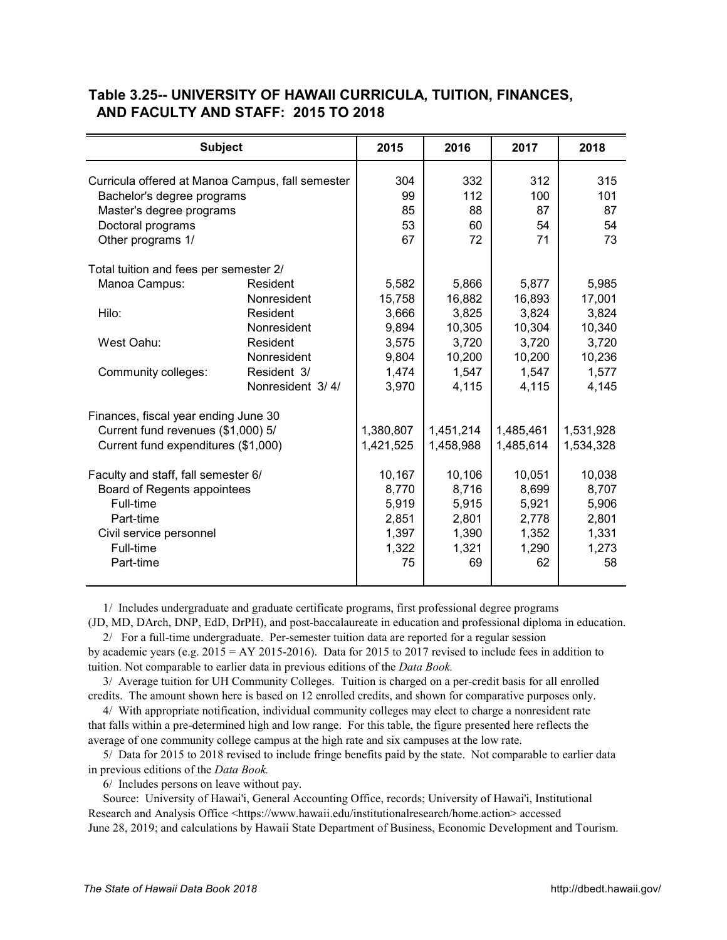| <b>Subject</b>                                   |                  | 2015      | 2016      | 2017      | 2018      |
|--------------------------------------------------|------------------|-----------|-----------|-----------|-----------|
| Curricula offered at Manoa Campus, fall semester | 304              | 332       | 312       | 315       |           |
| Bachelor's degree programs                       |                  | 99        | 112       | 100       | 101       |
| Master's degree programs                         |                  | 85        | 88        | 87        | 87        |
| Doctoral programs                                |                  | 53        | 60        | 54        | 54        |
| Other programs 1/                                |                  | 67        | 72        | 71        | 73        |
|                                                  |                  |           |           |           |           |
| Total tuition and fees per semester 2/           |                  |           |           |           |           |
| Manoa Campus:                                    | Resident         | 5,582     | 5,866     | 5,877     | 5,985     |
|                                                  | Nonresident      | 15,758    | 16,882    | 16,893    | 17,001    |
| Hilo:                                            | Resident         | 3,666     | 3,825     | 3,824     | 3,824     |
|                                                  | Nonresident      | 9,894     | 10,305    | 10,304    | 10,340    |
| West Oahu:                                       | Resident         | 3,575     | 3,720     | 3,720     | 3,720     |
|                                                  | Nonresident      | 9,804     | 10,200    | 10,200    | 10,236    |
| Community colleges:                              | Resident 3/      | 1,474     | 1,547     | 1,547     | 1,577     |
|                                                  | Nonresident 3/4/ | 3,970     | 4,115     | 4,115     | 4,145     |
| Finances, fiscal year ending June 30             |                  |           |           |           |           |
| Current fund revenues (\$1,000) 5/               |                  | 1,380,807 | 1,451,214 | 1,485,461 | 1,531,928 |
| Current fund expenditures (\$1,000)              |                  | 1,421,525 | 1,458,988 | 1,485,614 | 1,534,328 |
|                                                  |                  |           |           |           |           |
| Faculty and staff, fall semester 6/              |                  | 10,167    | 10,106    | 10,051    | 10,038    |
| Board of Regents appointees                      |                  | 8,770     | 8,716     | 8,699     | 8,707     |
| Full-time                                        |                  | 5,919     | 5,915     | 5,921     | 5,906     |
| Part-time                                        |                  | 2,851     | 2,801     | 2,778     | 2,801     |
| Civil service personnel                          |                  | 1,397     | 1,390     | 1,352     | 1,331     |
| Full-time                                        |                  | 1,322     | 1,321     | 1,290     | 1,273     |
| Part-time                                        |                  | 75        | 69        | 62        | 58        |
|                                                  |                  |           |           |           |           |

#### <span id="page-28-0"></span>**Table 3.25-- UNIVERSITY OF HAWAII CURRICULA, TUITION, FINANCES,**  *X26A0T*  **AND FACULTY AND STAFF: 2015 TO 2018**

1/ Includes undergraduate and graduate certificate programs, first professional degree programs

(JD, MD, DArch, DNP, EdD, DrPH), and post-baccalaureate in education and professional diploma in education. 2/ For a full-time undergraduate. Per-semester tuition data are reported for a regular session

by academic years (e.g.  $2015 = AY 2015-2016$ ). Data for 2015 to 2017 revised to include fees in addition to tuition. Not comparable to earlier data in previous editions of the *Data Book.*

 3/ Average tuition for UH Community Colleges. Tuition is charged on a per-credit basis for all enrolled credits. The amount shown here is based on 12 enrolled credits, and shown for comparative purposes only.

 4/ With appropriate notification, individual community colleges may elect to charge a nonresident rate that falls within a pre-determined high and low range. For this table, the figure presented here reflects the average of one community college campus at the high rate and six campuses at the low rate.

 5/ Data for 2015 to 2018 revised to include fringe benefits paid by the state. Not comparable to earlier data in previous editions of the *Data Book.*

6/ Includes persons on leave without pay.

 Source: University of Hawai'i, General Accounting Office, records; University of Hawai'i, Institutional Research and Analysis Office <[https://www.hawaii.edu/institutionalresearch/home.action> ac](https://www.hawaii.edu/institutionalresearch/home.action)cessed June 28, 2019; and calculations by Hawaii State Department of Business, Economic Development and Tourism.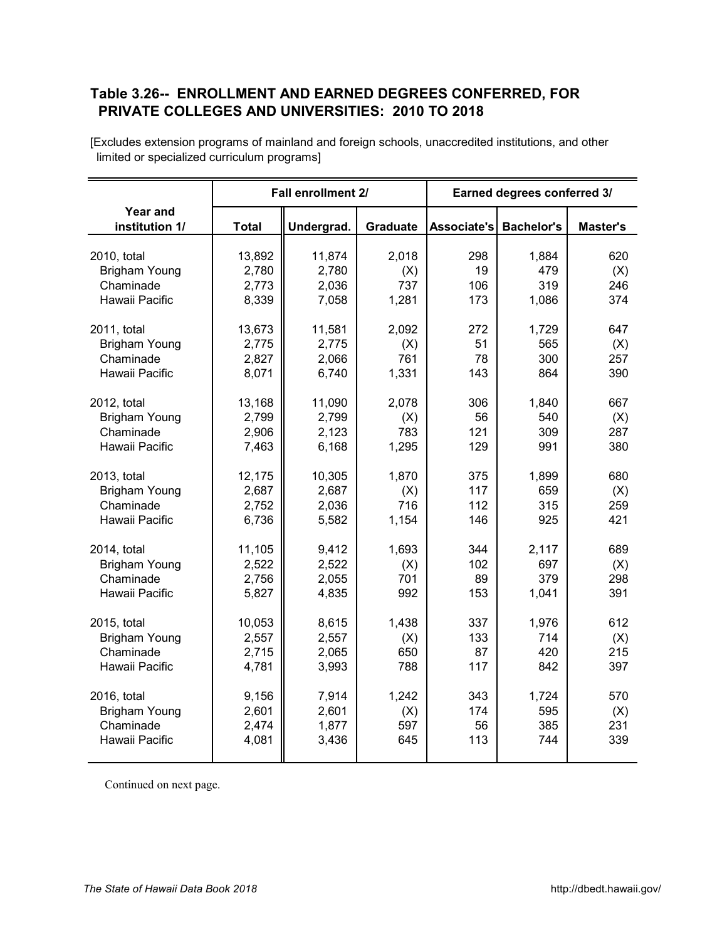#### <span id="page-29-0"></span>**Table 3.26-- ENROLLMENT AND EARNED DEGREES CONFERRED, FOR**  *X27A0T*  **PRIVATE COLLEGES AND UNIVERSITIES: 2010 TO 2018**

|                                   |              | Fall enrollment 2/ |          | Earned degrees conferred 3/ |                   |                 |  |
|-----------------------------------|--------------|--------------------|----------|-----------------------------|-------------------|-----------------|--|
| <b>Year and</b><br>institution 1/ | <b>Total</b> | Undergrad.         | Graduate | Associate's                 | <b>Bachelor's</b> | <b>Master's</b> |  |
| 2010, total                       | 13,892       | 11,874             | 2,018    | 298                         | 1,884             | 620             |  |
| <b>Brigham Young</b>              | 2,780        | 2,780              | (X)      | 19                          | 479               | (X)             |  |
| Chaminade                         | 2,773        | 2,036              | 737      | 106                         | 319               | 246             |  |
| Hawaii Pacific                    | 8,339        | 7,058              | 1,281    | 173                         | 1,086             | 374             |  |
| 2011, total                       | 13,673       | 11,581             | 2,092    | 272                         | 1,729             | 647             |  |
| <b>Brigham Young</b>              | 2,775        | 2,775              | (X)      | 51                          | 565               | (X)             |  |
| Chaminade                         | 2,827        | 2,066              | 761      | 78                          | 300               | 257             |  |
| Hawaii Pacific                    | 8,071        | 6,740              | 1,331    | 143                         | 864               | 390             |  |
| 2012, total                       | 13,168       | 11,090             | 2,078    | 306                         | 1,840             | 667             |  |
| <b>Brigham Young</b>              | 2,799        | 2,799              | (X)      | 56                          | 540               | (X)             |  |
| Chaminade                         | 2,906        | 2,123              | 783      | 121                         | 309               | 287             |  |
| Hawaii Pacific                    | 7,463        | 6,168              | 1,295    | 129                         | 991               | 380             |  |
| 2013, total                       | 12,175       | 10,305             | 1,870    | 375                         | 1,899             | 680             |  |
| <b>Brigham Young</b>              | 2,687        | 2,687              | (X)      | 117                         | 659               | (X)             |  |
| Chaminade                         | 2,752        | 2,036              | 716      | 112                         | 315               | 259             |  |
| Hawaii Pacific                    | 6,736        | 5,582              | 1,154    | 146                         | 925               | 421             |  |
| 2014, total                       | 11,105       | 9,412              | 1,693    | 344                         | 2,117             | 689             |  |
| <b>Brigham Young</b>              | 2,522        | 2,522              | (X)      | 102                         | 697               | (X)             |  |
| Chaminade                         | 2,756        | 2,055              | 701      | 89                          | 379               | 298             |  |
| Hawaii Pacific                    | 5,827        | 4,835              | 992      | 153                         | 1,041             | 391             |  |
| 2015, total                       | 10,053       | 8,615              | 1,438    | 337                         | 1,976             | 612             |  |
| <b>Brigham Young</b>              | 2,557        | 2,557              | (X)      | 133                         | 714               | (X)             |  |
| Chaminade                         | 2,715        | 2,065              | 650      | 87                          | 420               | 215             |  |
| Hawaii Pacific                    | 4,781        | 3,993              | 788      | 117                         | 842               | 397             |  |
| 2016, total                       | 9,156        | 7,914              | 1,242    | 343                         | 1,724             | 570             |  |
| <b>Brigham Young</b>              | 2,601        | 2,601              | (X)      | 174                         | 595               | (X)             |  |
| Chaminade                         | 2,474        | 1,877              | 597      | 56                          | 385               | 231             |  |
| Hawaii Pacific                    | 4,081        | 3,436              | 645      | 113                         | 744               | 339             |  |

[Excludes extension programs of mainland and foreign schools, unaccredited institutions, and other limited or specialized curriculum programs]

Continued on next page.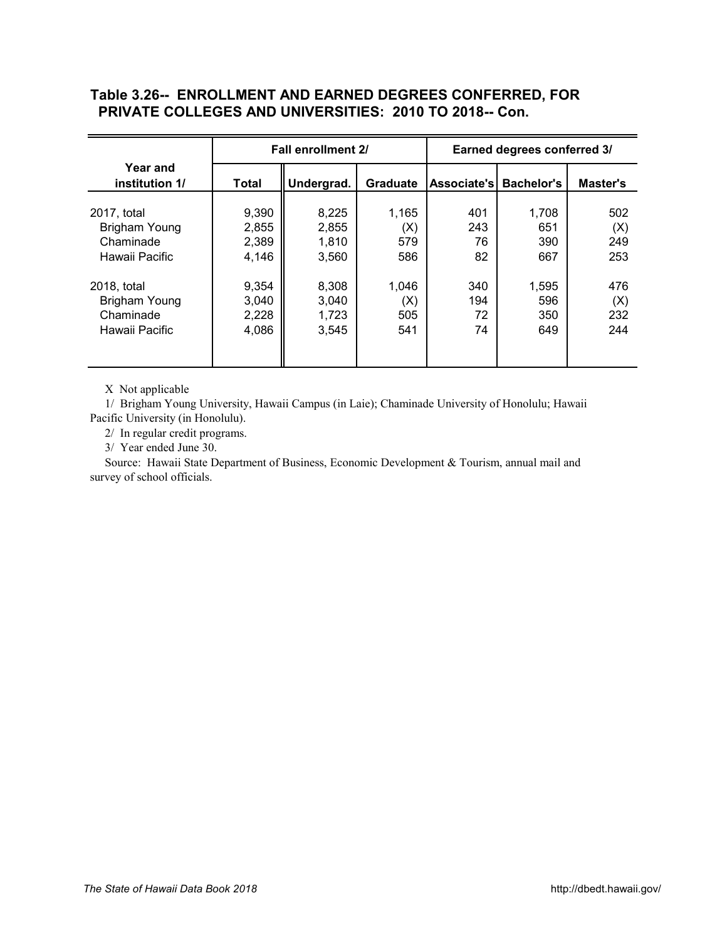## **Table 3.26-- ENROLLMENT AND EARNED DEGREES CONFERRED, FOR PRIVATE COLLEGES AND UNIVERSITIES: 2010 TO 2018-- Con.**

|                            |              | Fall enrollment 2/ |                 | Earned degrees conferred 3/ |                   |          |  |  |
|----------------------------|--------------|--------------------|-----------------|-----------------------------|-------------------|----------|--|--|
| Year and<br>institution 1/ | <b>Total</b> | Undergrad.         | <b>Graduate</b> | Associate's                 | <b>Bachelor's</b> | Master's |  |  |
| 2017, total                | 9,390        | 8,225              | 1,165           | 401                         | 1,708             | 502      |  |  |
| Brigham Young              | 2,855        | 2,855              | (X)             | 243                         | 651               | (X)      |  |  |
| Chaminade                  | 2,389        | 1,810              | 579             | 76                          | 390               | 249      |  |  |
| Hawaii Pacific             | 4,146        | 3,560              | 586             | 82                          | 667               | 253      |  |  |
| 2018, total                | 9,354        | 8,308              | 1,046           | 340                         | 1,595             | 476      |  |  |
| Brigham Young              | 3,040        | 3,040              | $({\sf X})$     | 194                         | 596               | (X)      |  |  |
| Chaminade                  | 2,228        | 1,723              | 505             | 72                          | 350               | 232      |  |  |
| Hawaii Pacific             | 4,086        | 3,545              | 541             | 74                          | 649               | 244      |  |  |

X Not applicable

 1/ Brigham Young University, Hawaii Campus (in Laie); Chaminade University of Honolulu; Hawaii Pacific University (in Honolulu).

2/ In regular credit programs.

3/ Year ended June 30.

 Source: Hawaii State Department of Business, Economic Development & Tourism, annual mail and survey of school officials.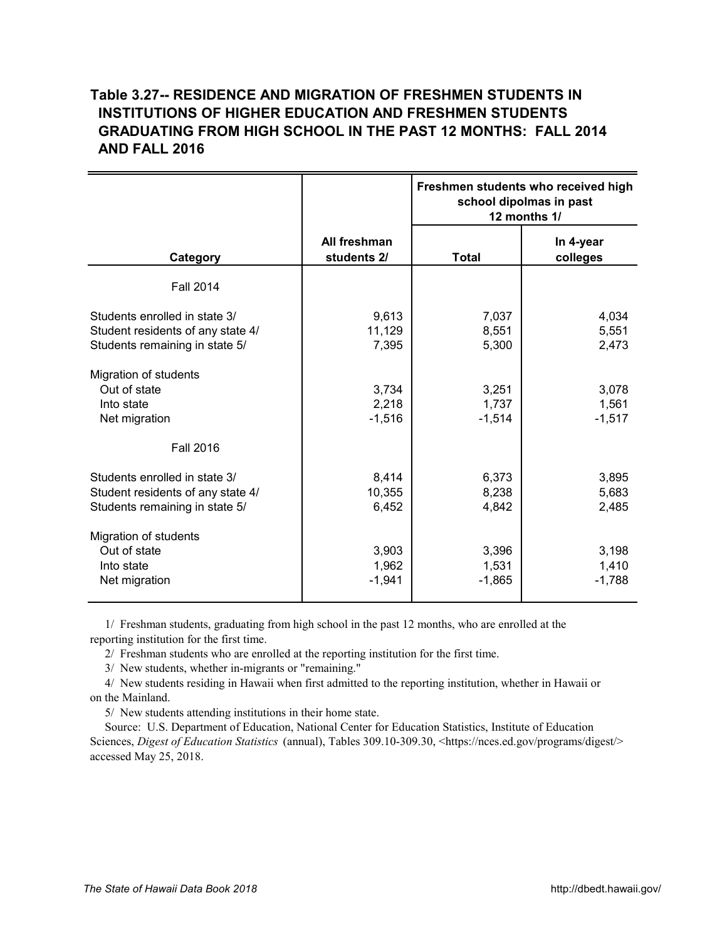## <span id="page-31-0"></span>**Table 3.27-- RESIDENCE AND MIGRATION OF FRESHMEN STUDENTS IN** *X28A0T*  **INSTITUTIONS OF HIGHER EDUCATION AND FRESHMEN STUDENTS GRADUATING FROM HIGH SCHOOL IN THE PAST 12 MONTHS: FALL 2014 AND FALL 2016**

|                                                                                                      |                             | Freshmen students who received high<br>school dipolmas in past<br>12 months 1/ |                            |  |
|------------------------------------------------------------------------------------------------------|-----------------------------|--------------------------------------------------------------------------------|----------------------------|--|
| Category                                                                                             | All freshman<br>students 2/ | <b>Total</b>                                                                   | In 4-year<br>colleges      |  |
| <b>Fall 2014</b>                                                                                     |                             |                                                                                |                            |  |
| Students enrolled in state 3/<br>Student residents of any state 4/<br>Students remaining in state 5/ | 9,613<br>11,129<br>7,395    | 7,037<br>8,551<br>5,300                                                        | 4,034<br>5,551<br>2,473    |  |
| Migration of students<br>Out of state<br>Into state<br>Net migration                                 | 3,734<br>2,218<br>$-1,516$  | 3,251<br>1,737<br>$-1,514$                                                     | 3,078<br>1,561<br>$-1,517$ |  |
| <b>Fall 2016</b>                                                                                     |                             |                                                                                |                            |  |
| Students enrolled in state 3/<br>Student residents of any state 4/<br>Students remaining in state 5/ | 8,414<br>10,355<br>6,452    | 6,373<br>8,238<br>4,842                                                        | 3,895<br>5,683<br>2,485    |  |
| Migration of students<br>Out of state<br>Into state<br>Net migration                                 | 3,903<br>1,962<br>$-1,941$  | 3,396<br>1,531<br>$-1,865$                                                     | 3,198<br>1,410<br>$-1,788$ |  |

 1/ Freshman students, graduating from high school in the past 12 months, who are enrolled at the reporting institution for the first time.

2/ Freshman students who are enrolled at the reporting institution for the first time.

3/ New students, whether in-migrants or "remaining."

 4/ New students residing in Hawaii when first admitted to the reporting institution, whether in Hawaii or on the Mainland.

5/ New students attending institutions in their home state.

 Source: U.S. Department of Education, National Center for Education Statistics, Institute of Education Sciences, *Digest of Education Statistics* (annual), Tables 309.10-309.30, [<https://nces.ed.gov/programs/digest/>](https://nces.ed.gov/programs/digest/) accessed May 25, 2018.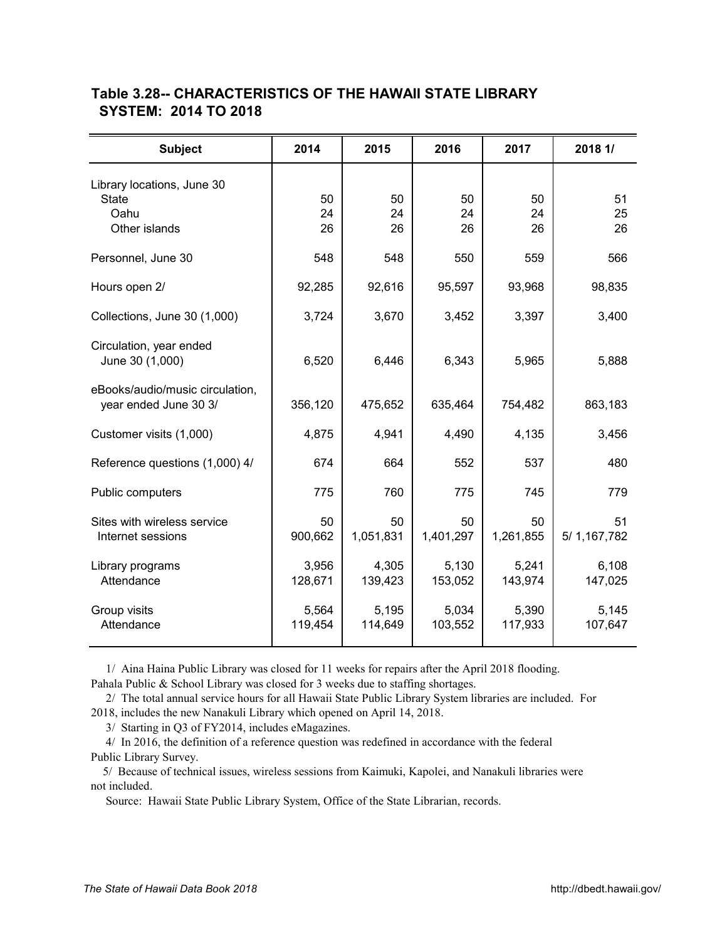| <b>Subject</b>                                                      | 2014             | 2015             | 2016             | 2017             | 2018 1/            |
|---------------------------------------------------------------------|------------------|------------------|------------------|------------------|--------------------|
| Library locations, June 30<br><b>State</b><br>Oahu<br>Other islands | 50<br>24<br>26   | 50<br>24<br>26   | 50<br>24<br>26   | 50<br>24<br>26   | 51<br>25<br>26     |
| Personnel, June 30                                                  | 548              | 548              | 550              | 559              | 566                |
| Hours open 2/                                                       | 92,285           | 92,616           | 95,597           | 93,968           | 98,835             |
| Collections, June 30 (1,000)                                        | 3,724            | 3,670            | 3,452            | 3,397            | 3,400              |
| Circulation, year ended<br>June 30 (1,000)                          | 6,520            | 6,446            | 6,343            | 5,965            | 5,888              |
| eBooks/audio/music circulation,<br>year ended June 30 3/            | 356,120          | 475,652          | 635,464          | 754,482          | 863,183            |
| Customer visits (1,000)                                             | 4,875            | 4,941            | 4,490            | 4,135            | 3,456              |
| Reference questions (1,000) 4/                                      | 674              | 664              | 552              | 537              | 480                |
| Public computers                                                    | 775              | 760              | 775              | 745              | 779                |
| Sites with wireless service<br>Internet sessions                    | 50<br>900,662    | 50<br>1,051,831  | 50<br>1,401,297  | 50<br>1,261,855  | 51<br>5/ 1,167,782 |
| Library programs<br>Attendance                                      | 3,956<br>128,671 | 4,305<br>139,423 | 5,130<br>153,052 | 5,241<br>143,974 | 6,108<br>147,025   |
| Group visits<br>Attendance                                          | 5,564<br>119,454 | 5,195<br>114,649 | 5,034<br>103,552 | 5,390<br>117,933 | 5,145<br>107,647   |

#### <span id="page-32-0"></span>**Table 3.28-- CHARACTERISTICS OF THE HAWAII STATE LIBRARY**  *X29A0T*  **SYSTEM: 2014 TO 2018**

1/ Aina Haina Public Library was closed for 11 weeks for repairs after the April 2018 flooding.

Pahala Public & School Library was closed for 3 weeks due to staffing shortages.

2/ The total annual service hours for all Hawaii State Public Library System libraries are included. For

2018, includes the new Nanakuli Library which opened on April 14, 2018.

3/ Starting in Q3 of FY2014, includes eMagazines.

 4/ In 2016, the definition of a reference question was redefined in accordance with the federal Public Library Survey.

 5/ Because of technical issues, wireless sessions from Kaimuki, Kapolei, and Nanakuli libraries were not included.

Source: Hawaii State Public Library System, Office of the State Librarian, records.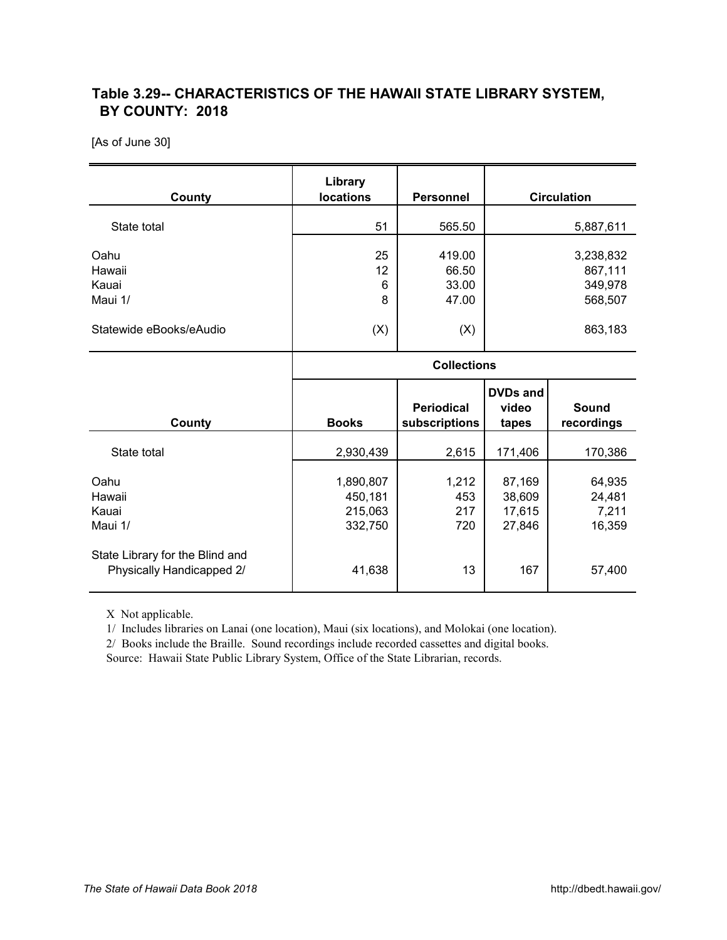## <span id="page-33-0"></span>**Table 3.29-- CHARACTERISTICS OF THE HAWAII STATE LIBRARY SYSTEM,** *X30AT*  **BY COUNTY: 2018**

[As of June 30]

| County                             | Library<br><b>locations</b>                | <b>Personnel</b>                   |                                      | <b>Circulation</b>                         |  |  |
|------------------------------------|--------------------------------------------|------------------------------------|--------------------------------------|--------------------------------------------|--|--|
| State total                        | 51                                         | 565.50                             |                                      | 5,887,611                                  |  |  |
| Oahu<br>Hawaii<br>Kauai<br>Maui 1/ | 25<br>12<br>6<br>8                         | 419.00<br>66.50<br>33.00<br>47.00  |                                      | 3,238,832<br>867,111<br>349,978<br>568,507 |  |  |
| Statewide eBooks/eAudio            | (X)                                        | (X)                                | 863,183                              |                                            |  |  |
|                                    |                                            | <b>Collections</b>                 |                                      |                                            |  |  |
|                                    |                                            |                                    |                                      |                                            |  |  |
| County                             | <b>Books</b>                               | <b>Periodical</b><br>subscriptions | <b>DVDs and</b><br>video<br>tapes    | <b>Sound</b><br>recordings                 |  |  |
| State total                        | 2,930,439                                  | 2,615                              | 171,406                              | 170,386                                    |  |  |
| Oahu<br>Hawaii<br>Kauai<br>Maui 1/ | 1,890,807<br>450,181<br>215,063<br>332,750 | 1,212<br>453<br>217<br>720         | 87,169<br>38,609<br>17,615<br>27,846 | 64,935<br>24,481<br>7,211<br>16,359        |  |  |

X Not applicable.

1/ Includes libraries on Lanai (one location), Maui (six locations), and Molokai (one location).

2/ Books include the Braille. Sound recordings include recorded cassettes and digital books.

Source: Hawaii State Public Library System, Office of the State Librarian, records.